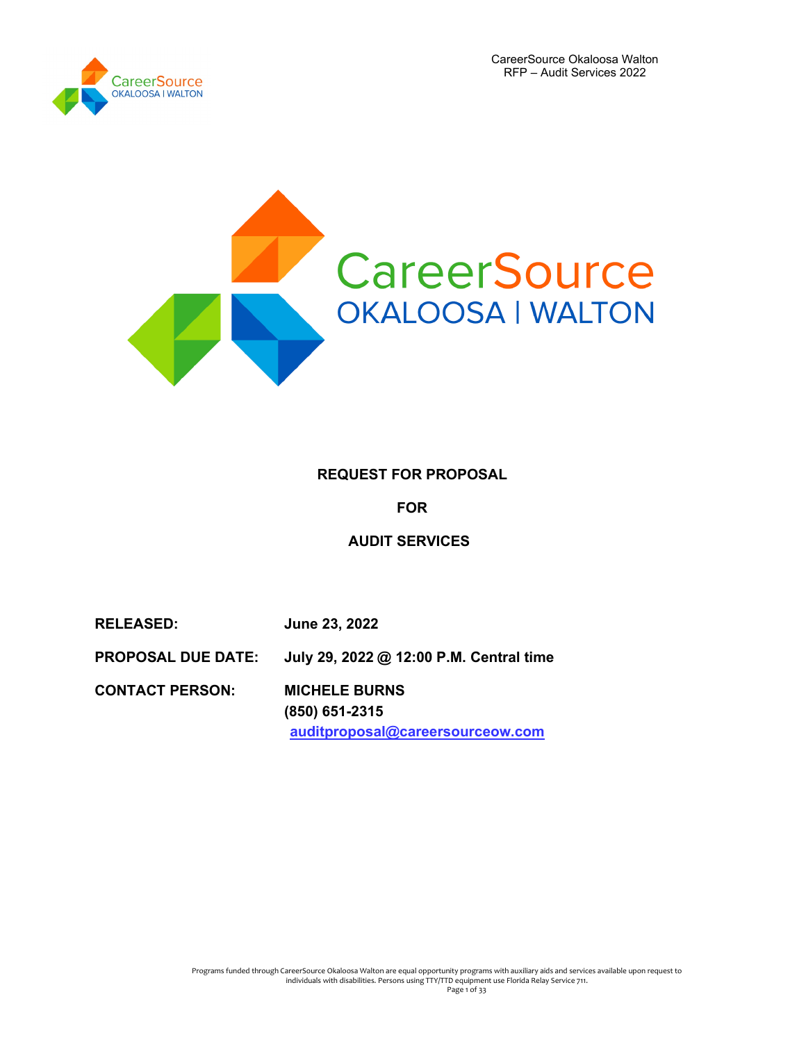

# **REQUEST FOR PROPOSAL**

**FOR**

**AUDIT SERVICES**

**RELEASED: June 23, 2022 PROPOSAL DUE DATE: July 29, 2022 @ 12:00 P.M. Central time CONTACT PERSON: MICHELE BURNS (850) 651-2315 auditproposal@careersourceow.com**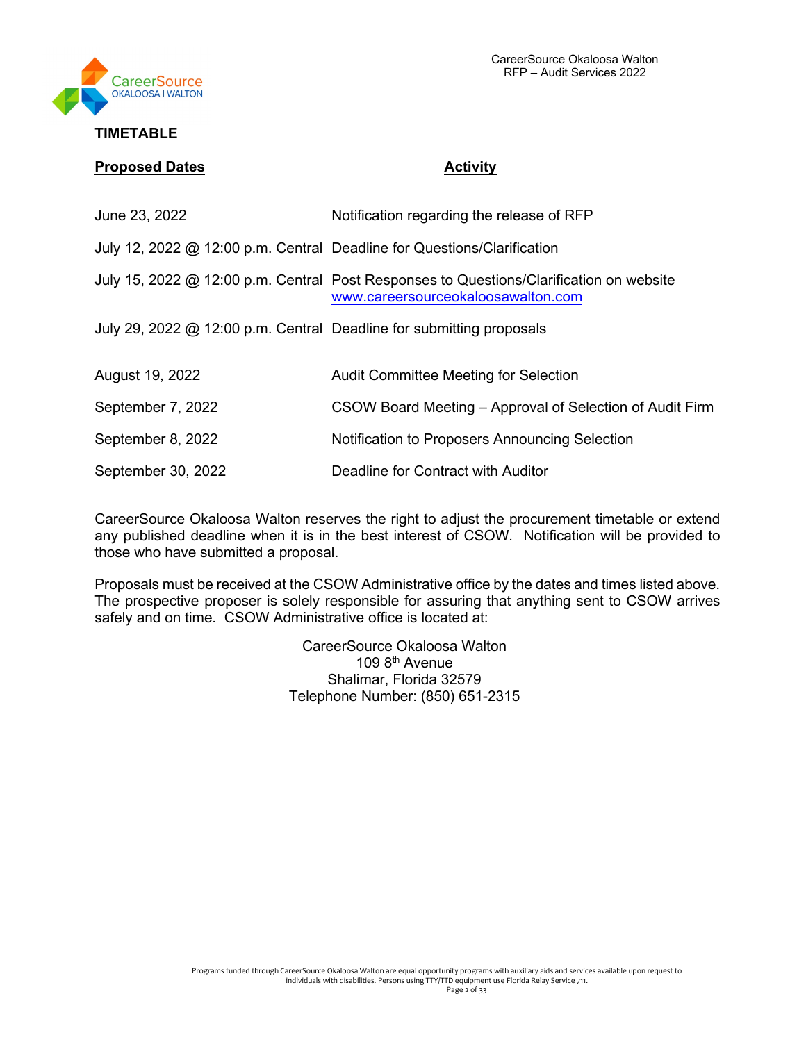

## **TIMETABLE**

#### **Proposed Dates Activity**

| June 23, 2022                                                           | Notification regarding the release of RFP                                                                                     |
|-------------------------------------------------------------------------|-------------------------------------------------------------------------------------------------------------------------------|
| July 12, 2022 @ 12:00 p.m. Central Deadline for Questions/Clarification |                                                                                                                               |
|                                                                         | July 15, 2022 @ 12:00 p.m. Central Post Responses to Questions/Clarification on website<br>www.careersourceokaloosawalton.com |
| July 29, 2022 @ 12:00 p.m. Central Deadline for submitting proposals    |                                                                                                                               |
| August 19, 2022                                                         | <b>Audit Committee Meeting for Selection</b>                                                                                  |
| September 7, 2022                                                       | CSOW Board Meeting – Approval of Selection of Audit Firm                                                                      |
| September 8, 2022                                                       | Notification to Proposers Announcing Selection                                                                                |
| September 30, 2022                                                      | Deadline for Contract with Auditor                                                                                            |

CareerSource Okaloosa Walton reserves the right to adjust the procurement timetable or extend any published deadline when it is in the best interest of CSOW*.* Notification will be provided to those who have submitted a proposal.

Proposals must be received at the CSOW Administrative office by the dates and times listed above. The prospective proposer is solely responsible for assuring that anything sent to CSOW arrives safely and on time. CSOW Administrative office is located at:

> CareerSource Okaloosa Walton 109 8th Avenue Shalimar, Florida 32579 Telephone Number: (850) 651-2315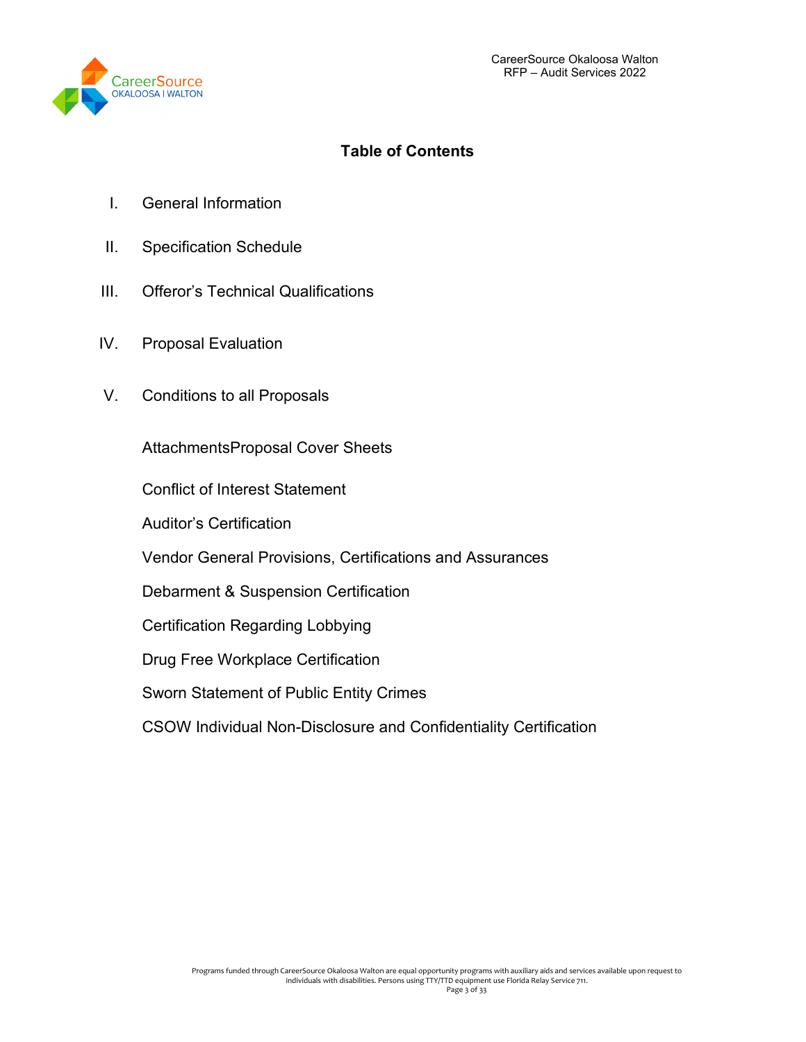

# **Table of Contents**

- I. General Information
- II. Specification Schedule
- III. Offeror's Technical Qualifications
- IV. Proposal Evaluation
- V. Conditions to all Proposals

AttachmentsProposal Cover Sheets

Conflict of Interest Statement

Auditor's Certification

Vendor General Provisions, Certifications and Assurances

Debarment & Suspension Certification

Certification Regarding Lobbying

Drug Free Workplace Certification

Sworn Statement of Public Entity Crimes

CSOW Individual Non-Disclosure and Confidentiality Certification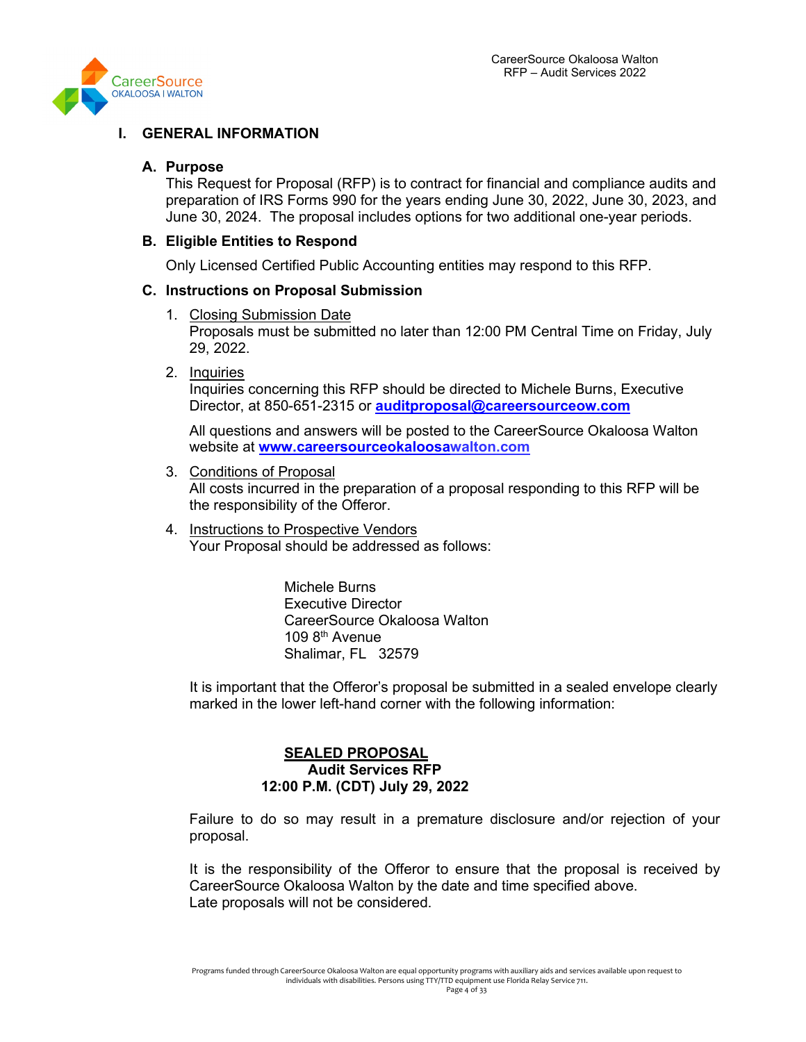

# **I. GENERAL INFORMATION**

#### **A. Purpose**

This Request for Proposal (RFP) is to contract for financial and compliance audits and preparation of IRS Forms 990 for the years ending June 30, 2022, June 30, 2023, and June 30, 2024. The proposal includes options for two additional one-year periods.

#### **B. Eligible Entities to Respond**

Only Licensed Certified Public Accounting entities may respond to this RFP.

#### **C. Instructions on Proposal Submission**

1. Closing Submission Date

Proposals must be submitted no later than 12:00 PM Central Time on Friday, July 29, 2022.

2. Inquiries

Inquiries concerning this RFP should be directed to Michele Burns, Executive Director, at 850-651-2315 or **[auditproposal@careersourceow.com](mailto:auditproposal@careersourceow.com)**

All questions and answers will be posted to the CareerSource Okaloosa Walton website at **[www.careersourceokaloosaw](http://www.careersourceokaloosa/)alton.com**

- 3. Conditions of Proposal All costs incurred in the preparation of a proposal responding to this RFP will be the responsibility of the Offeror.
- 4. Instructions to Prospective Vendors Your Proposal should be addressed as follows:

Michele Burns Executive Director CareerSource Okaloosa Walton 109 8th Avenue Shalimar, FL 32579

It is important that the Offeror's proposal be submitted in a sealed envelope clearly marked in the lower left-hand corner with the following information:

## **SEALED PROPOSAL Audit Services RFP 12:00 P.M. (CDT) July 29, 2022**

Failure to do so may result in a premature disclosure and/or rejection of your proposal.

It is the responsibility of the Offeror to ensure that the proposal is received by CareerSource Okaloosa Walton by the date and time specified above. Late proposals will not be considered.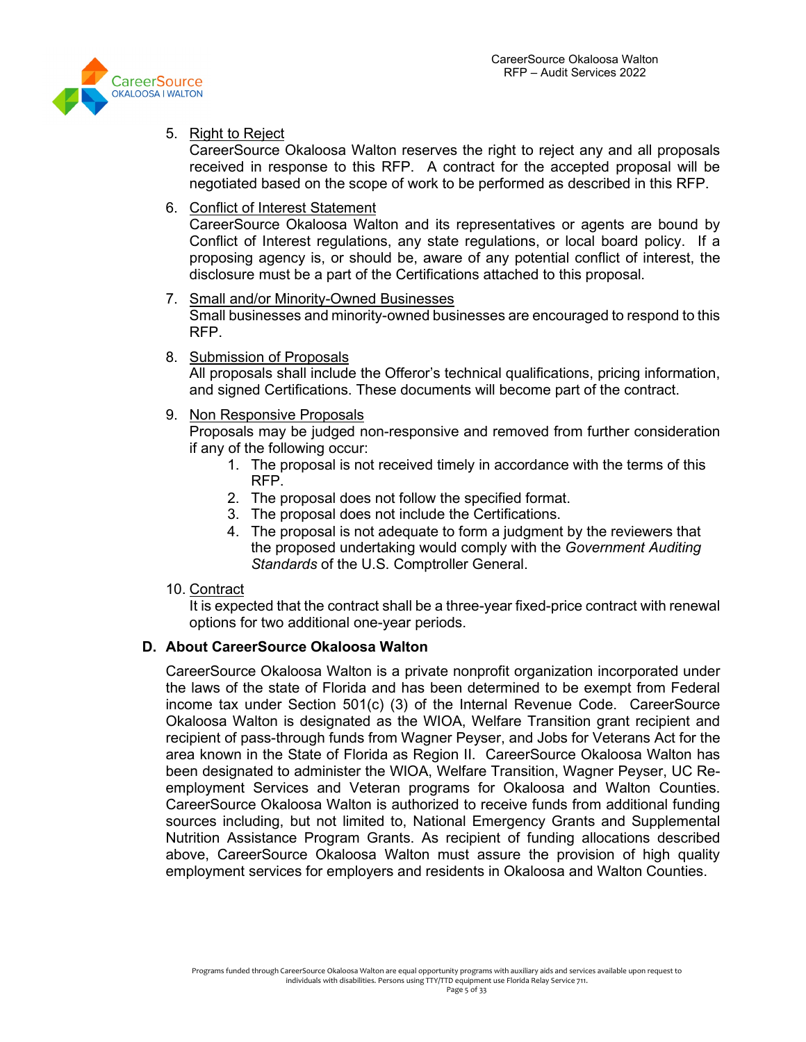

#### 5. Right to Reject

CareerSource Okaloosa Walton reserves the right to reject any and all proposals received in response to this RFP. A contract for the accepted proposal will be negotiated based on the scope of work to be performed as described in this RFP.

#### 6. Conflict of Interest Statement

CareerSource Okaloosa Walton and its representatives or agents are bound by Conflict of Interest regulations, any state regulations, or local board policy. If a proposing agency is, or should be, aware of any potential conflict of interest, the disclosure must be a part of the Certifications attached to this proposal.

#### 7. Small and/or Minority-Owned Businesses Small businesses and minority-owned businesses are encouraged to respond to this RFP.

#### 8. Submission of Proposals

All proposals shall include the Offeror's technical qualifications, pricing information, and signed Certifications. These documents will become part of the contract.

#### 9. Non Responsive Proposals

Proposals may be judged non-responsive and removed from further consideration if any of the following occur:

- 1. The proposal is not received timely in accordance with the terms of this RFP.
- 2. The proposal does not follow the specified format.
- 3. The proposal does not include the Certifications.
- 4. The proposal is not adequate to form a judgment by the reviewers that the proposed undertaking would comply with the *Government Auditing Standards* of the U.S. Comptroller General.

# 10. Contract

It is expected that the contract shall be a three-year fixed-price contract with renewal options for two additional one-year periods.

# **D. About CareerSource Okaloosa Walton**

CareerSource Okaloosa Walton is a private nonprofit organization incorporated under the laws of the state of Florida and has been determined to be exempt from Federal income tax under Section 501(c) (3) of the Internal Revenue Code. CareerSource Okaloosa Walton is designated as the WIOA, Welfare Transition grant recipient and recipient of pass-through funds from Wagner Peyser, and Jobs for Veterans Act for the area known in the State of Florida as Region II. CareerSource Okaloosa Walton has been designated to administer the WIOA, Welfare Transition, Wagner Peyser, UC Reemployment Services and Veteran programs for Okaloosa and Walton Counties. CareerSource Okaloosa Walton is authorized to receive funds from additional funding sources including, but not limited to, National Emergency Grants and Supplemental Nutrition Assistance Program Grants. As recipient of funding allocations described above, CareerSource Okaloosa Walton must assure the provision of high quality employment services for employers and residents in Okaloosa and Walton Counties.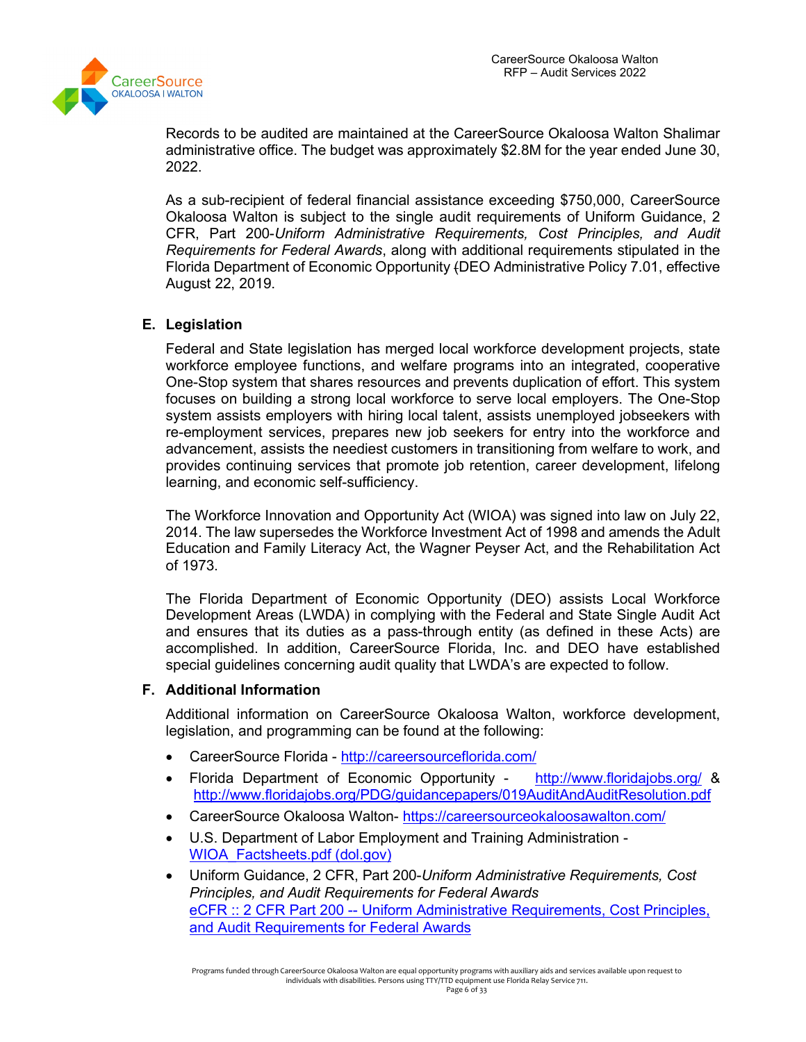

Records to be audited are maintained at the CareerSource Okaloosa Walton Shalimar administrative office. The budget was approximately \$2.8M for the year ended June 30, 2022.

As a sub-recipient of federal financial assistance exceeding \$750,000, CareerSource Okaloosa Walton is subject to the single audit requirements of Uniform Guidance, 2 CFR, Part 200-*Uniform Administrative Requirements, Cost Principles, and Audit Requirements for Federal Awards*, along with additional requirements stipulated in the Florida Department of Economic Opportunity (DEO Administrative Policy 7.01, effective August 22, 2019.

# **E. Legislation**

Federal and State legislation has merged local workforce development projects, state workforce employee functions, and welfare programs into an integrated, cooperative One-Stop system that shares resources and prevents duplication of effort. This system focuses on building a strong local workforce to serve local employers. The One-Stop system assists employers with hiring local talent, assists unemployed jobseekers with re-employment services, prepares new job seekers for entry into the workforce and advancement, assists the neediest customers in transitioning from welfare to work, and provides continuing services that promote job retention, career development, lifelong learning, and economic self-sufficiency.

The Workforce Innovation and Opportunity Act (WIOA) was signed into law on July 22, 2014. The law supersedes the Workforce Investment Act of 1998 and amends the Adult Education and Family Literacy Act, the Wagner Peyser Act, and the Rehabilitation Act of 1973.

The Florida Department of Economic Opportunity (DEO) assists Local Workforce Development Areas (LWDA) in complying with the Federal and State Single Audit Act and ensures that its duties as a pass-through entity (as defined in these Acts) are accomplished. In addition, CareerSource Florida, Inc. and DEO have established special guidelines concerning audit quality that LWDA's are expected to follow.

# **F. Additional Information**

Additional information on CareerSource Okaloosa Walton, workforce development, legislation, and programming can be found at the following:

- CareerSource Florida <http://careersourceflorida.com/>
- Florida Department of Economic Opportunity <http://www.floridajobs.org/> & <http://www.floridajobs.org/PDG/guidancepapers/019AuditAndAuditResolution.pdf>
- CareerSource Okaloosa Walton- <https://careersourceokaloosawalton.com/>
- U.S. Department of Labor Employment and Training Administration [WIOA\\_Factsheets.pdf \(dol.gov\)](https://www.dol.gov/sites/dolgov/files/ETA/wioa/pdfs/WIOA_Factsheets.pdf)
- Uniform Guidance, 2 CFR, Part 200-*Uniform Administrative Requirements, Cost Principles, and Audit Requirements for Federal Awards* eCFR :: 2 CFR Part 200 -- Uniform Administrative Requirements, Cost Principles, [and Audit Requirements for Federal Awards](https://www.ecfr.gov/current/title-2/subtitle-A/chapter-II/part-200)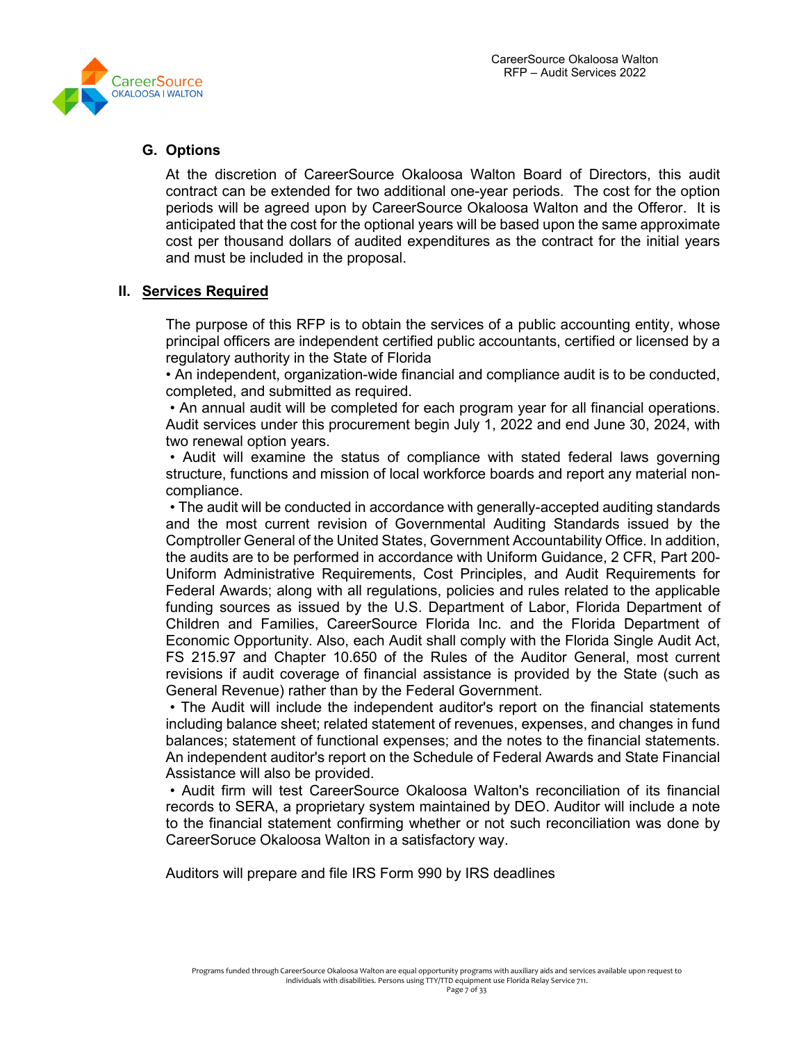

# **G. Options**

At the discretion of CareerSource Okaloosa Walton Board of Directors, this audit contract can be extended for two additional one-year periods. The cost for the option periods will be agreed upon by CareerSource Okaloosa Walton and the Offeror. It is anticipated that the cost for the optional years will be based upon the same approximate cost per thousand dollars of audited expenditures as the contract for the initial years and must be included in the proposal.

# **II. Services Required**

The purpose of this RFP is to obtain the services of a public accounting entity, whose principal officers are independent certified public accountants, certified or licensed by a regulatory authority in the State of Florida

• An independent, organization-wide financial and compliance audit is to be conducted, completed, and submitted as required.

• An annual audit will be completed for each program year for all financial operations. Audit services under this procurement begin July 1, 2022 and end June 30, 2024, with two renewal option years.

• Audit will examine the status of compliance with stated federal laws governing structure, functions and mission of local workforce boards and report any material noncompliance.

• The audit will be conducted in accordance with generally-accepted auditing standards and the most current revision of Governmental Auditing Standards issued by the Comptroller General of the United States, Government Accountability Office. In addition, the audits are to be performed in accordance with Uniform Guidance, 2 CFR, Part 200- Uniform Administrative Requirements, Cost Principles, and Audit Requirements for Federal Awards; along with all regulations, policies and rules related to the applicable funding sources as issued by the U.S. Department of Labor, Florida Department of Children and Families, CareerSource Florida Inc. and the Florida Department of Economic Opportunity. Also, each Audit shall comply with the Florida Single Audit Act, FS 215.97 and Chapter 10.650 of the Rules of the Auditor General, most current revisions if audit coverage of financial assistance is provided by the State (such as General Revenue) rather than by the Federal Government.

• The Audit will include the independent auditor's report on the financial statements including balance sheet; related statement of revenues, expenses, and changes in fund balances; statement of functional expenses; and the notes to the financial statements. An independent auditor's report on the Schedule of Federal Awards and State Financial Assistance will also be provided.

• Audit firm will test CareerSource Okaloosa Walton's reconciliation of its financial records to SERA, a proprietary system maintained by DEO. Auditor will include a note to the financial statement confirming whether or not such reconciliation was done by CareerSoruce Okaloosa Walton in a satisfactory way.

Auditors will prepare and file IRS Form 990 by IRS deadlines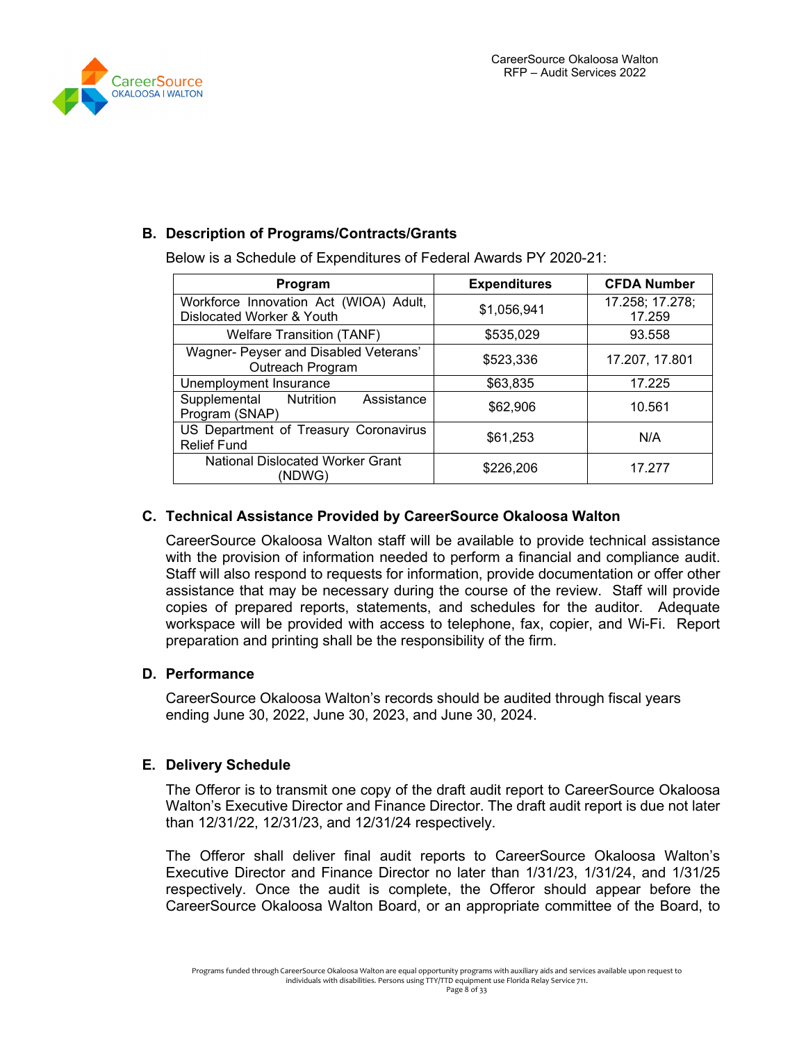



# **B. Description of Programs/Contracts/Grants**

Below is a Schedule of Expenditures of Federal Awards PY 2020-21:

| Program                                                             | <b>Expenditures</b> | <b>CFDA Number</b>        |
|---------------------------------------------------------------------|---------------------|---------------------------|
| Workforce Innovation Act (WIOA) Adult,<br>Dislocated Worker & Youth | \$1,056,941         | 17.258; 17.278;<br>17.259 |
| <b>Welfare Transition (TANF)</b>                                    | \$535,029           | 93.558                    |
| Wagner- Peyser and Disabled Veterans'<br>Outreach Program           | \$523,336           | 17.207, 17.801            |
| Unemployment Insurance                                              | \$63,835            | 17.225                    |
| Supplemental<br>Assistance<br>Nutrition<br>Program (SNAP)           | \$62,906            | 10.561                    |
| US Department of Treasury Coronavirus<br><b>Relief Fund</b>         | \$61,253            | N/A                       |
| National Dislocated Worker Grant<br>(NDWG)                          | \$226,206           | 17.277                    |

# **C. Technical Assistance Provided by CareerSource Okaloosa Walton**

CareerSource Okaloosa Walton staff will be available to provide technical assistance with the provision of information needed to perform a financial and compliance audit. Staff will also respond to requests for information, provide documentation or offer other assistance that may be necessary during the course of the review. Staff will provide copies of prepared reports, statements, and schedules for the auditor. Adequate workspace will be provided with access to telephone, fax, copier, and Wi-Fi. Report preparation and printing shall be the responsibility of the firm.

# **D. Performance**

CareerSource Okaloosa Walton's records should be audited through fiscal years ending June 30, 2022, June 30, 2023, and June 30, 2024.

# **E. Delivery Schedule**

The Offeror is to transmit one copy of the draft audit report to CareerSource Okaloosa Walton's Executive Director and Finance Director. The draft audit report is due not later than 12/31/22, 12/31/23, and 12/31/24 respectively.

The Offeror shall deliver final audit reports to CareerSource Okaloosa Walton's Executive Director and Finance Director no later than 1/31/23, 1/31/24, and 1/31/25 respectively. Once the audit is complete, the Offeror should appear before the CareerSource Okaloosa Walton Board, or an appropriate committee of the Board, to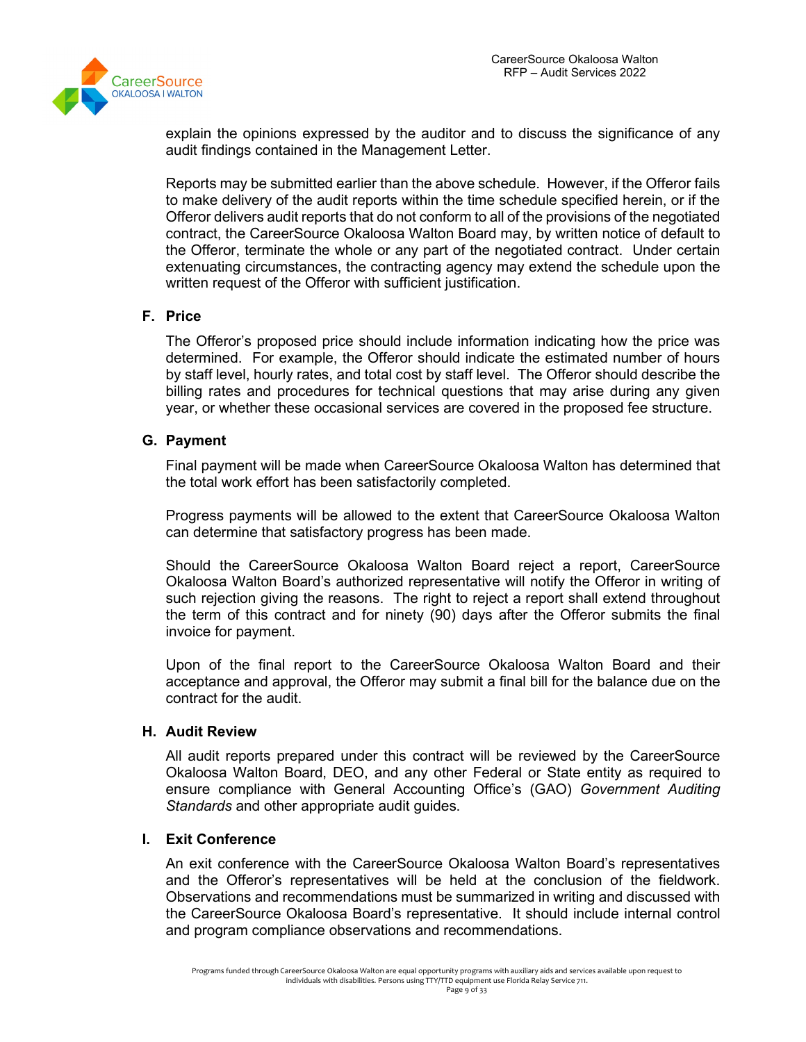

explain the opinions expressed by the auditor and to discuss the significance of any audit findings contained in the Management Letter.

Reports may be submitted earlier than the above schedule. However, if the Offeror fails to make delivery of the audit reports within the time schedule specified herein, or if the Offeror delivers audit reports that do not conform to all of the provisions of the negotiated contract, the CareerSource Okaloosa Walton Board may, by written notice of default to the Offeror, terminate the whole or any part of the negotiated contract. Under certain extenuating circumstances, the contracting agency may extend the schedule upon the written request of the Offeror with sufficient justification.

#### **F. Price**

The Offeror's proposed price should include information indicating how the price was determined. For example, the Offeror should indicate the estimated number of hours by staff level, hourly rates, and total cost by staff level. The Offeror should describe the billing rates and procedures for technical questions that may arise during any given year, or whether these occasional services are covered in the proposed fee structure.

#### **G. Payment**

Final payment will be made when CareerSource Okaloosa Walton has determined that the total work effort has been satisfactorily completed.

Progress payments will be allowed to the extent that CareerSource Okaloosa Walton can determine that satisfactory progress has been made.

Should the CareerSource Okaloosa Walton Board reject a report, CareerSource Okaloosa Walton Board's authorized representative will notify the Offeror in writing of such rejection giving the reasons. The right to reject a report shall extend throughout the term of this contract and for ninety (90) days after the Offeror submits the final invoice for payment.

Upon of the final report to the CareerSource Okaloosa Walton Board and their acceptance and approval, the Offeror may submit a final bill for the balance due on the contract for the audit.

#### **H. Audit Review**

All audit reports prepared under this contract will be reviewed by the CareerSource Okaloosa Walton Board, DEO, and any other Federal or State entity as required to ensure compliance with General Accounting Office's (GAO) *Government Auditing Standards* and other appropriate audit guides.

#### **I. Exit Conference**

An exit conference with the CareerSource Okaloosa Walton Board's representatives and the Offeror's representatives will be held at the conclusion of the fieldwork. Observations and recommendations must be summarized in writing and discussed with the CareerSource Okaloosa Board's representative. It should include internal control and program compliance observations and recommendations.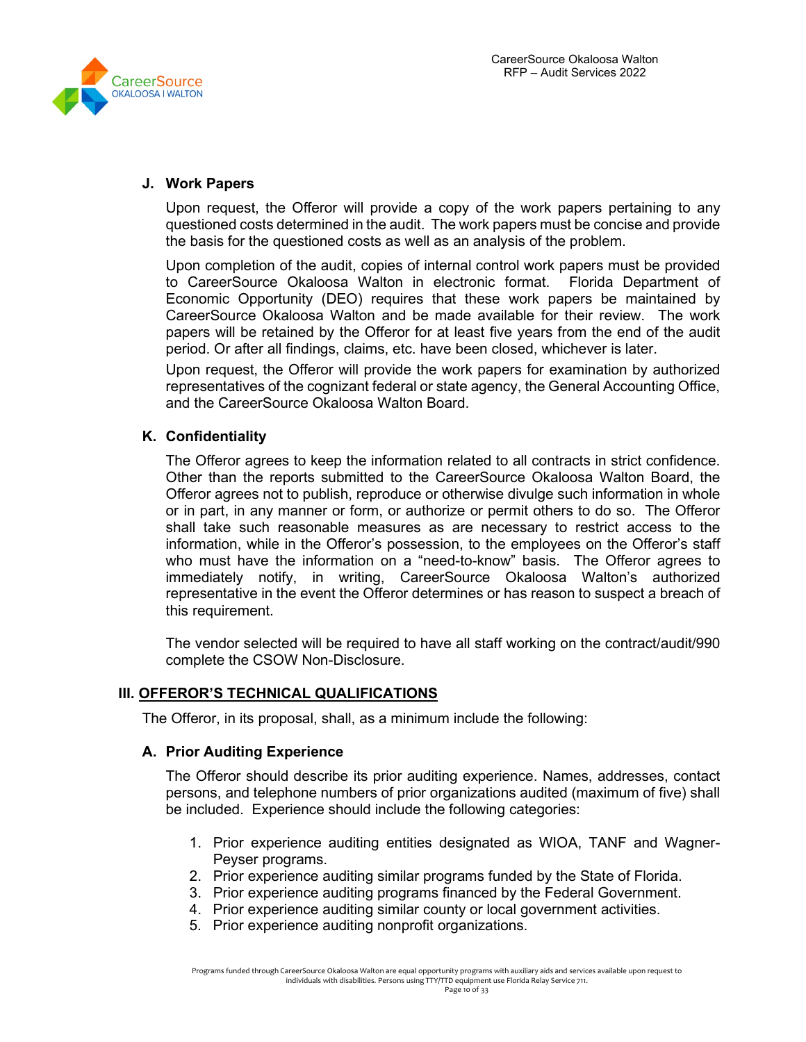

#### **J. Work Papers**

Upon request, the Offeror will provide a copy of the work papers pertaining to any questioned costs determined in the audit. The work papers must be concise and provide the basis for the questioned costs as well as an analysis of the problem.

Upon completion of the audit, copies of internal control work papers must be provided to CareerSource Okaloosa Walton in electronic format. Florida Department of Economic Opportunity (DEO) requires that these work papers be maintained by CareerSource Okaloosa Walton and be made available for their review. The work papers will be retained by the Offeror for at least five years from the end of the audit period. Or after all findings, claims, etc. have been closed, whichever is later.

Upon request, the Offeror will provide the work papers for examination by authorized representatives of the cognizant federal or state agency, the General Accounting Office, and the CareerSource Okaloosa Walton Board.

# **K. Confidentiality**

The Offeror agrees to keep the information related to all contracts in strict confidence. Other than the reports submitted to the CareerSource Okaloosa Walton Board, the Offeror agrees not to publish, reproduce or otherwise divulge such information in whole or in part, in any manner or form, or authorize or permit others to do so. The Offeror shall take such reasonable measures as are necessary to restrict access to the information, while in the Offeror's possession, to the employees on the Offeror's staff who must have the information on a "need-to-know" basis. The Offeror agrees to immediately notify, in writing, CareerSource Okaloosa Walton's authorized representative in the event the Offeror determines or has reason to suspect a breach of this requirement.

The vendor selected will be required to have all staff working on the contract/audit/990 complete the CSOW Non-Disclosure.

# **III. OFFEROR'S TECHNICAL QUALIFICATIONS**

The Offeror, in its proposal, shall, as a minimum include the following:

# **A. Prior Auditing Experience**

The Offeror should describe its prior auditing experience. Names, addresses, contact persons, and telephone numbers of prior organizations audited (maximum of five) shall be included. Experience should include the following categories:

- 1. Prior experience auditing entities designated as WIOA, TANF and Wagner-Peyser programs.
- 2. Prior experience auditing similar programs funded by the State of Florida.
- 3. Prior experience auditing programs financed by the Federal Government.
- 4. Prior experience auditing similar county or local government activities.
- 5. Prior experience auditing nonprofit organizations.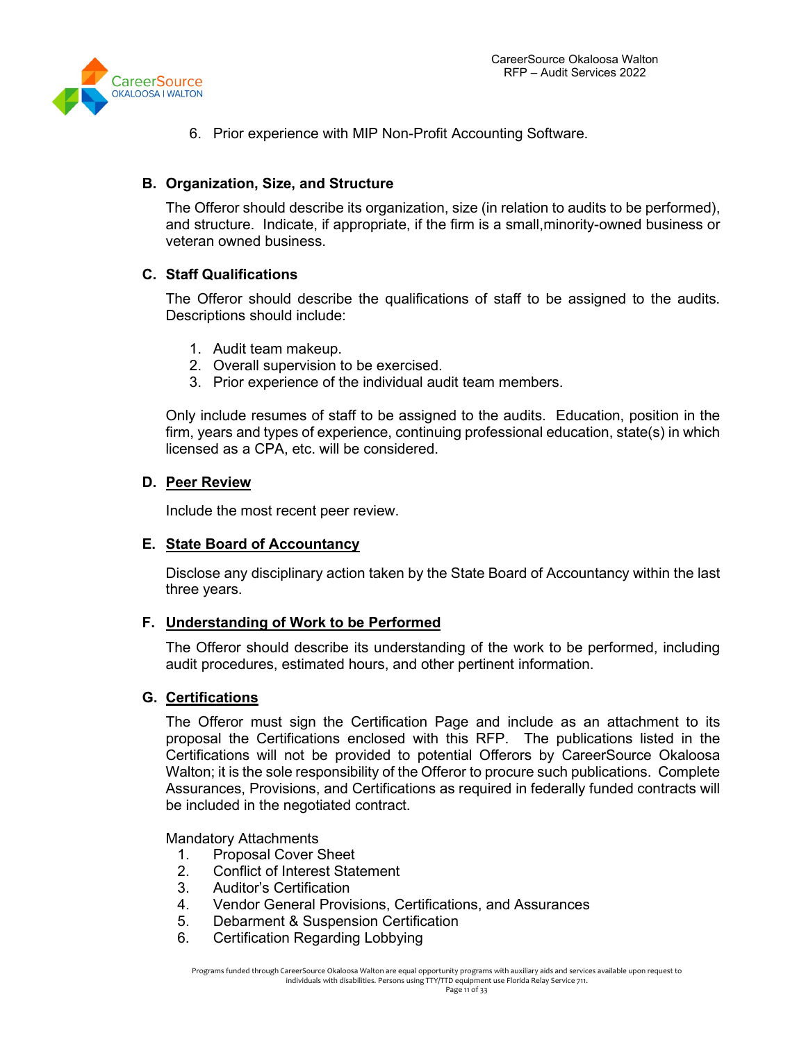

6. Prior experience with MIP Non-Profit Accounting Software.

# **B. Organization, Size, and Structure**

The Offeror should describe its organization, size (in relation to audits to be performed), and structure. Indicate, if appropriate, if the firm is a small,minority-owned business or veteran owned business.

# **C. Staff Qualifications**

The Offeror should describe the qualifications of staff to be assigned to the audits. Descriptions should include:

- 1. Audit team makeup.
- 2. Overall supervision to be exercised.
- 3. Prior experience of the individual audit team members.

Only include resumes of staff to be assigned to the audits. Education, position in the firm, years and types of experience, continuing professional education, state(s) in which licensed as a CPA, etc. will be considered.

#### **D. Peer Review**

Include the most recent peer review.

#### **E. State Board of Accountancy**

Disclose any disciplinary action taken by the State Board of Accountancy within the last three years.

# **F. Understanding of Work to be Performed**

The Offeror should describe its understanding of the work to be performed, including audit procedures, estimated hours, and other pertinent information.

#### **G. Certifications**

The Offeror must sign the Certification Page and include as an attachment to its proposal the Certifications enclosed with this RFP. The publications listed in the Certifications will not be provided to potential Offerors by CareerSource Okaloosa Walton; it is the sole responsibility of the Offeror to procure such publications. Complete Assurances, Provisions, and Certifications as required in federally funded contracts will be included in the negotiated contract.

#### Mandatory Attachments

- 1. Proposal Cover Sheet
- 2. Conflict of Interest Statement
- 3. Auditor's Certification
- 4. Vendor General Provisions, Certifications, and Assurances
- 5. Debarment & Suspension Certification
- 6. Certification Regarding Lobbying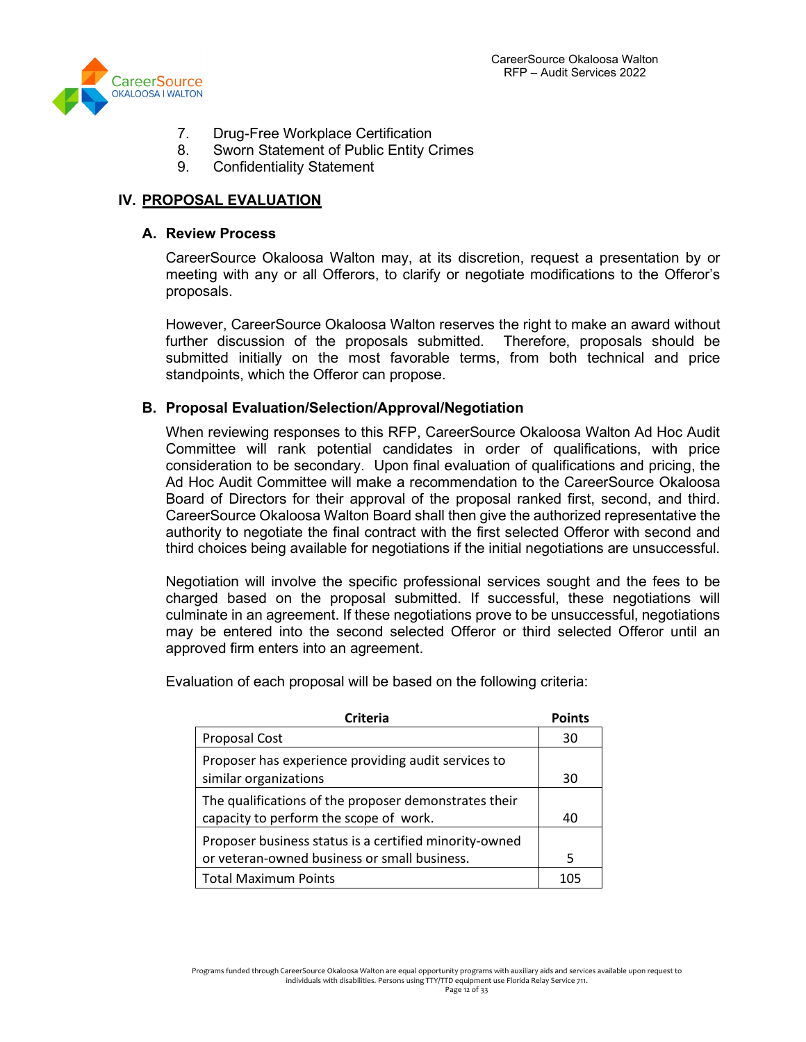

- 7. Drug-Free Workplace Certification
- 8. Sworn Statement of Public Entity Crimes
- 9. Confidentiality Statement

# **IV. PROPOSAL EVALUATION**

#### **A. Review Process**

CareerSource Okaloosa Walton may, at its discretion, request a presentation by or meeting with any or all Offerors, to clarify or negotiate modifications to the Offeror's proposals.

However, CareerSource Okaloosa Walton reserves the right to make an award without further discussion of the proposals submitted. Therefore, proposals should be submitted initially on the most favorable terms, from both technical and price standpoints, which the Offeror can propose.

#### **B. Proposal Evaluation/Selection/Approval/Negotiation**

When reviewing responses to this RFP, CareerSource Okaloosa Walton Ad Hoc Audit Committee will rank potential candidates in order of qualifications, with price consideration to be secondary. Upon final evaluation of qualifications and pricing, the Ad Hoc Audit Committee will make a recommendation to the CareerSource Okaloosa Board of Directors for their approval of the proposal ranked first, second, and third. CareerSource Okaloosa Walton Board shall then give the authorized representative the authority to negotiate the final contract with the first selected Offeror with second and third choices being available for negotiations if the initial negotiations are unsuccessful.

Negotiation will involve the specific professional services sought and the fees to be charged based on the proposal submitted. If successful, these negotiations will culminate in an agreement. If these negotiations prove to be unsuccessful, negotiations may be entered into the second selected Offeror or third selected Offeror until an approved firm enters into an agreement.

**Criteria Points** Proposal Cost 30 Proposer has experience providing audit services to similar organizations and the state of the state of the state of the state of the state of the state of the state of the state of the state of the state of the state of the state of the state of the state of the state of t The qualifications of the proposer demonstrates their capacity to perform the scope of work. 40

or veteran-owned business or small business. The state of state states are stated by states are stated by stat Total Maximum Points 105

Proposer business status is a certified minority-owned

Evaluation of each proposal will be based on the following criteria: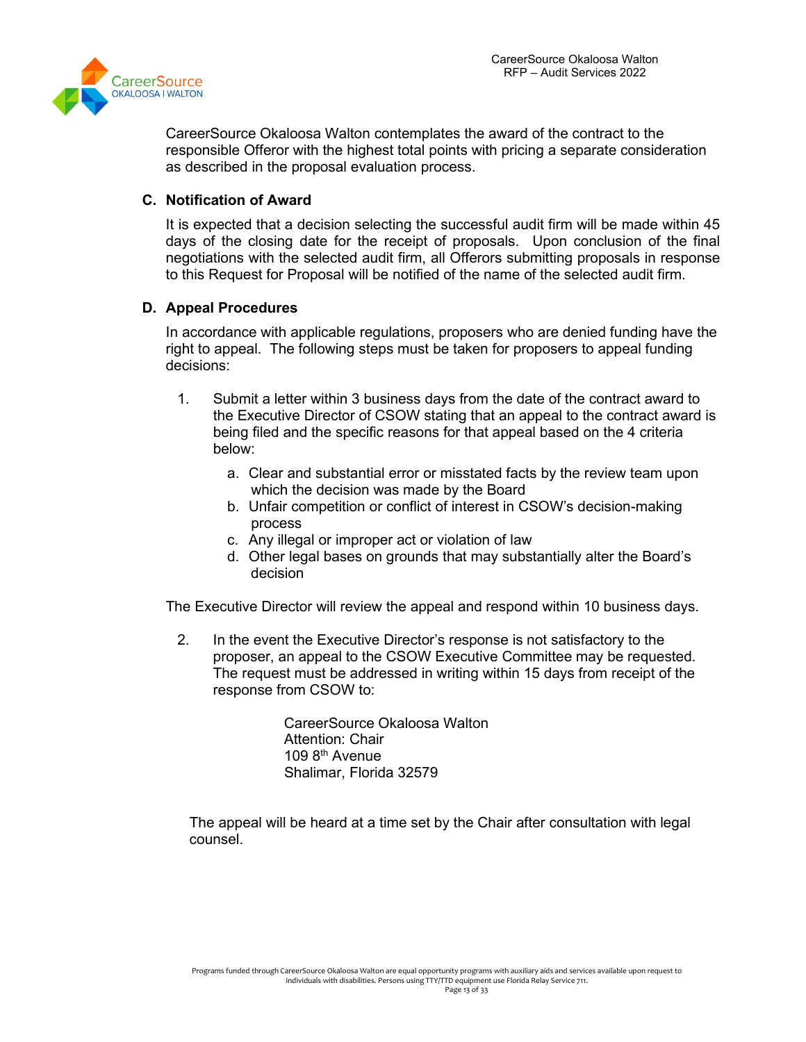

CareerSource Okaloosa Walton contemplates the award of the contract to the responsible Offeror with the highest total points with pricing a separate consideration as described in the proposal evaluation process.

## **C. Notification of Award**

It is expected that a decision selecting the successful audit firm will be made within 45 days of the closing date for the receipt of proposals. Upon conclusion of the final negotiations with the selected audit firm, all Offerors submitting proposals in response to this Request for Proposal will be notified of the name of the selected audit firm.

#### **D. Appeal Procedures**

In accordance with applicable regulations, proposers who are denied funding have the right to appeal. The following steps must be taken for proposers to appeal funding decisions:

- 1. Submit a letter within 3 business days from the date of the contract award to the Executive Director of CSOW stating that an appeal to the contract award is being filed and the specific reasons for that appeal based on the 4 criteria below:
	- a. Clear and substantial error or misstated facts by the review team upon which the decision was made by the Board
	- b. Unfair competition or conflict of interest in CSOW's decision-making process
	- c. Any illegal or improper act or violation of law
	- d. Other legal bases on grounds that may substantially alter the Board's decision

The Executive Director will review the appeal and respond within 10 business days.

2. In the event the Executive Director's response is not satisfactory to the proposer, an appeal to the CSOW Executive Committee may be requested. The request must be addressed in writing within 15 days from receipt of the response from CSOW to:

> CareerSource Okaloosa Walton Attention: Chair 109 8<sup>th</sup> Avenue Shalimar, Florida 32579

The appeal will be heard at a time set by the Chair after consultation with legal counsel.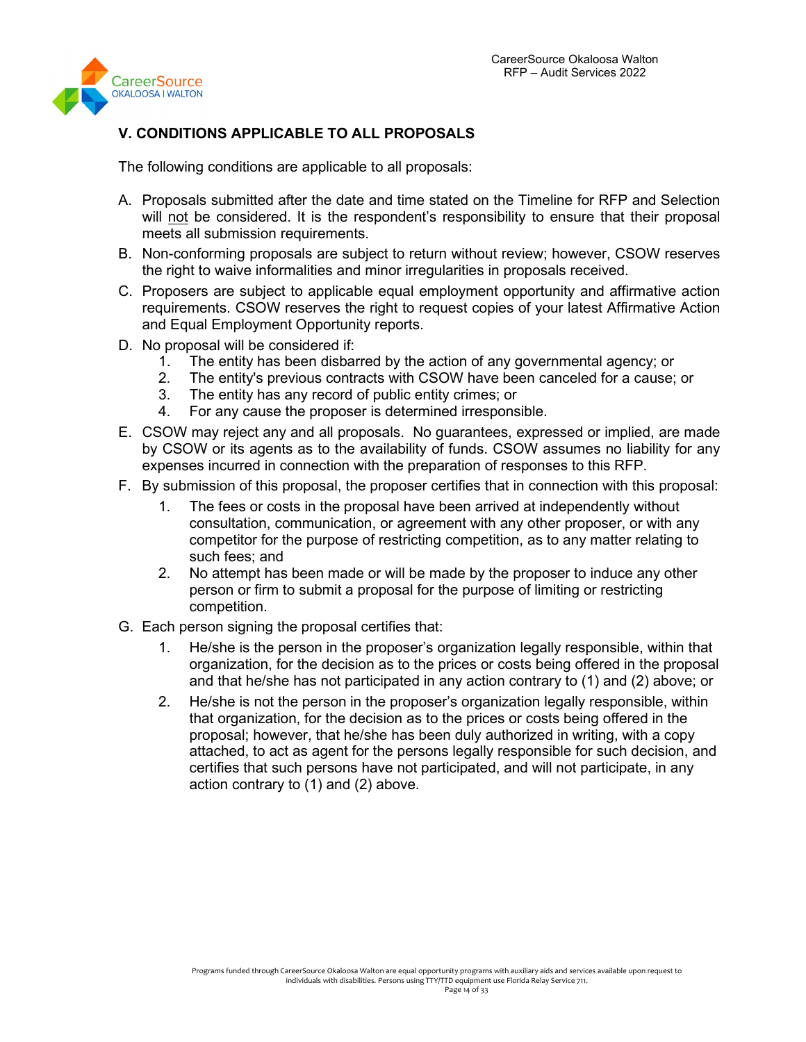

# **V. CONDITIONS APPLICABLE TO ALL PROPOSALS**

The following conditions are applicable to all proposals:

- A. Proposals submitted after the date and time stated on the Timeline for RFP and Selection will not be considered. It is the respondent's responsibility to ensure that their proposal meets all submission requirements.
- B. Non-conforming proposals are subject to return without review; however, CSOW reserves the right to waive informalities and minor irregularities in proposals received.
- C. Proposers are subject to applicable equal employment opportunity and affirmative action requirements. CSOW reserves the right to request copies of your latest Affirmative Action and Equal Employment Opportunity reports.
- D. No proposal will be considered if:
	- 1. The entity has been disbarred by the action of any governmental agency; or <br>2. The entity's previous contracts with CSOW have been canceled for a cause:
	- 2. The entity's previous contracts with CSOW have been canceled for a cause; or
	- 3. The entity has any record of public entity crimes; or
	- 4. For any cause the proposer is determined irresponsible.
- E. CSOW may reject any and all proposals. No guarantees, expressed or implied, are made by CSOW or its agents as to the availability of funds. CSOW assumes no liability for any expenses incurred in connection with the preparation of responses to this RFP.
- F. By submission of this proposal, the proposer certifies that in connection with this proposal:
	- 1. The fees or costs in the proposal have been arrived at independently without consultation, communication, or agreement with any other proposer, or with any competitor for the purpose of restricting competition, as to any matter relating to such fees; and
	- 2. No attempt has been made or will be made by the proposer to induce any other person or firm to submit a proposal for the purpose of limiting or restricting competition.
- G. Each person signing the proposal certifies that:
	- 1. He/she is the person in the proposer's organization legally responsible, within that organization, for the decision as to the prices or costs being offered in the proposal and that he/she has not participated in any action contrary to (1) and (2) above; or
	- 2. He/she is not the person in the proposer's organization legally responsible, within that organization, for the decision as to the prices or costs being offered in the proposal; however, that he/she has been duly authorized in writing, with a copy attached, to act as agent for the persons legally responsible for such decision, and certifies that such persons have not participated, and will not participate, in any action contrary to (1) and (2) above.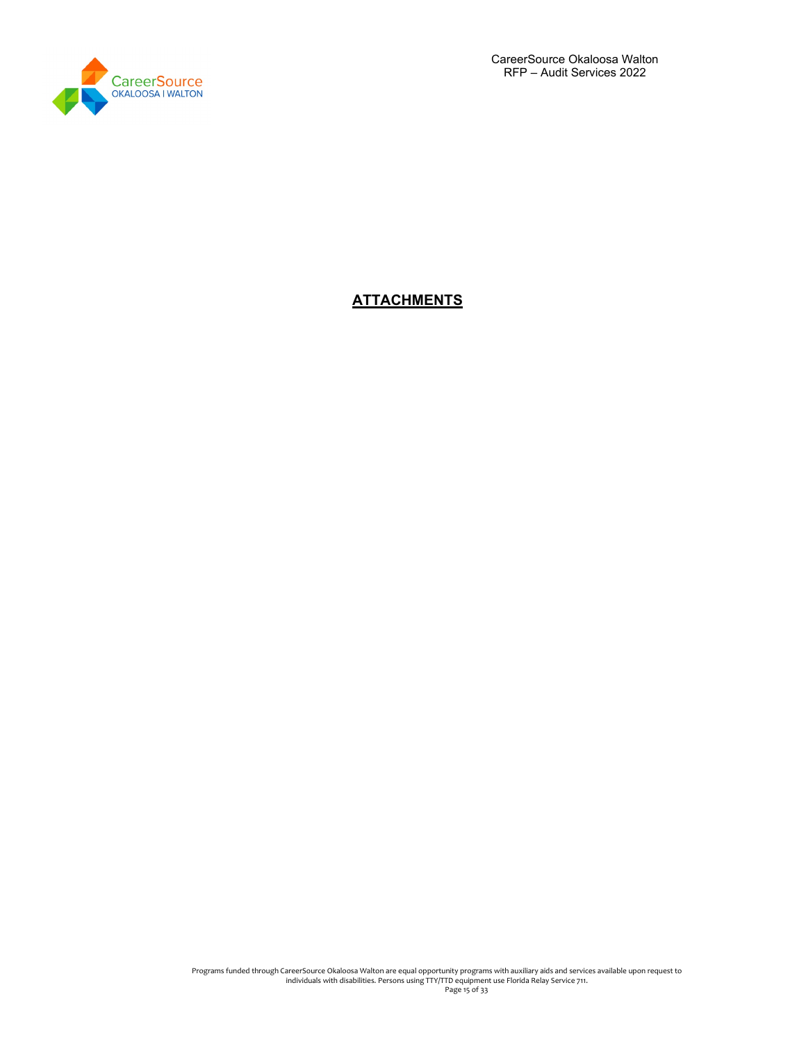

CareerSource Okaloosa Walton RFP – Audit Services 2022

# **ATTACHMENTS**

Programs funded through CareerSource Okaloosa Walton are equal opportunity programs with auxiliary aids and services available upon request to<br>individuals with disabilities. Persons using TTY/TTD equipment use Florida Rela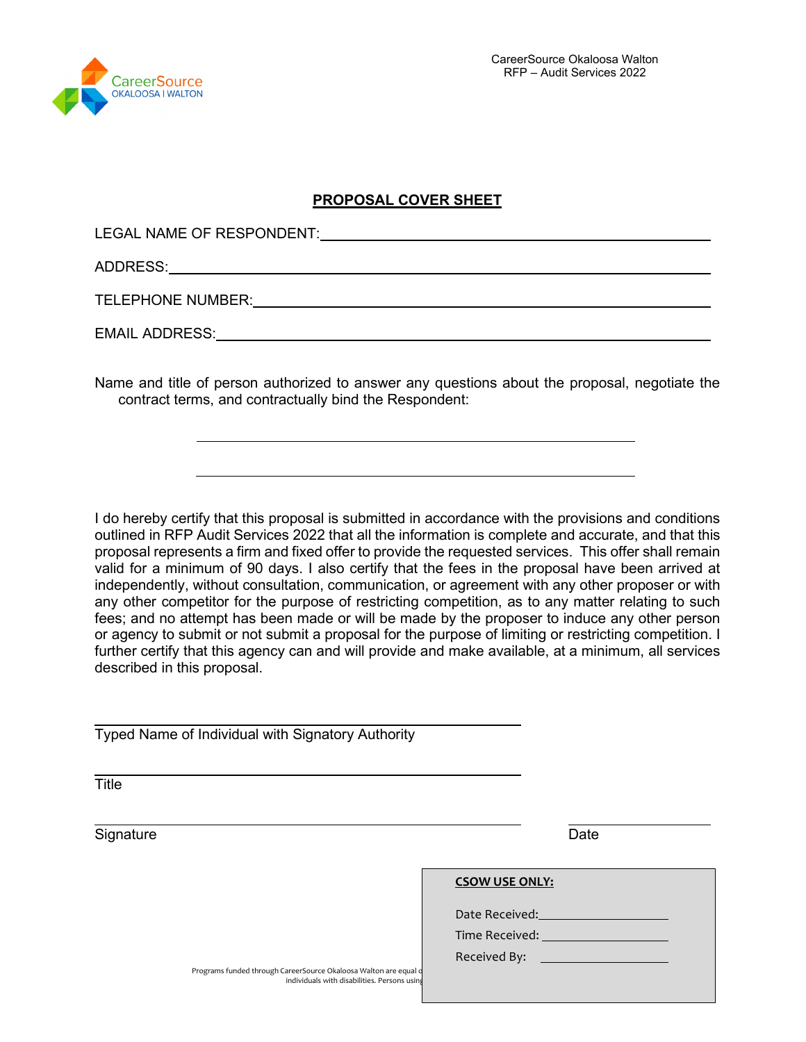

# **PROPOSAL COVER SHEET**

LEGAL NAME OF RESPONDENT:

ADDRESS:

**Title** 

TELEPHONE NUMBER:

EMAIL ADDRESS:

Name and title of person authorized to answer any questions about the proposal, negotiate the contract terms, and contractually bind the Respondent:

I do hereby certify that this proposal is submitted in accordance with the provisions and conditions outlined in RFP Audit Services 2022 that all the information is complete and accurate, and that this proposal represents a firm and fixed offer to provide the requested services. This offer shall remain valid for a minimum of 90 days. I also certify that the fees in the proposal have been arrived at independently, without consultation, communication, or agreement with any other proposer or with any other competitor for the purpose of restricting competition, as to any matter relating to such fees; and no attempt has been made or will be made by the proposer to induce any other person or agency to submit or not submit a proposal for the purpose of limiting or restricting competition. I further certify that this agency can and will provide and make available, at a minimum, all services described in this proposal.

Typed Name of Individual with Signatory Authority

Programs funded through CareerSource Okaloosa Walton are equal individuals with disabilities. Persons using Signature Date **CSOW USE ONLY:** Date Received: Time Received: Received By: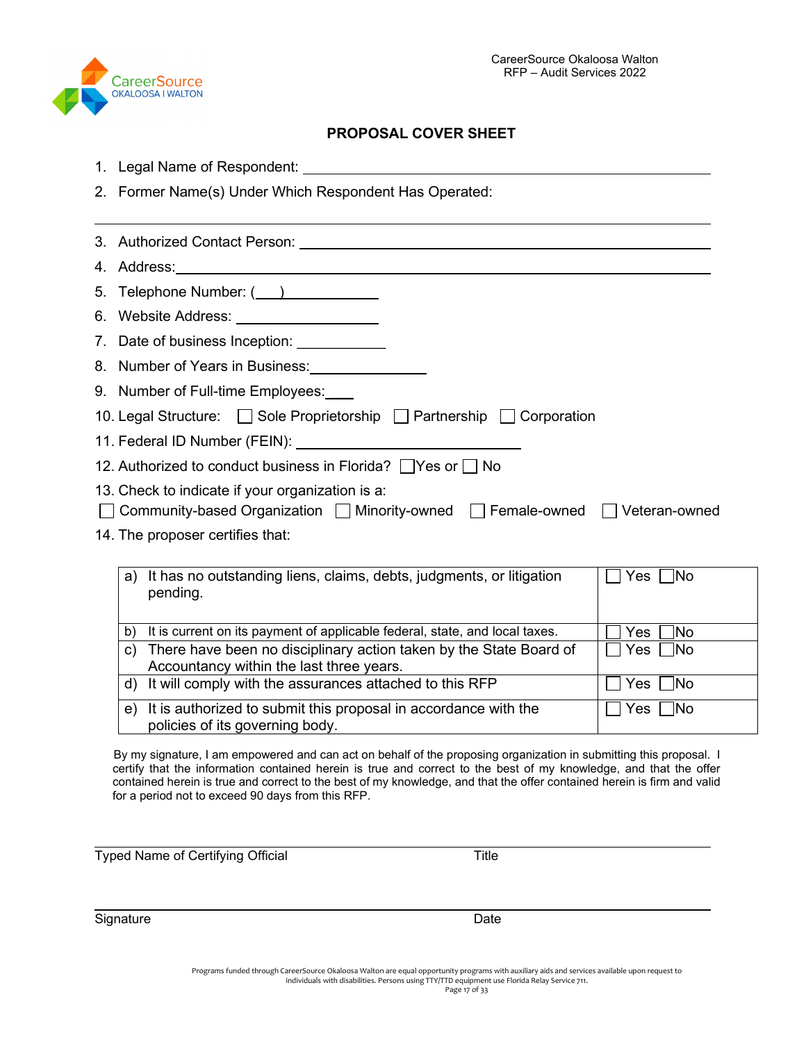

# **PROPOSAL COVER SHEET**

- 1. Legal Name of Respondent:
- 2. Former Name(s) Under Which Respondent Has Operated:

| 5. Telephone Number: ( )                                                       |
|--------------------------------------------------------------------------------|
| 6. Website Address: ____________________                                       |
| 7. Date of business Inception: ______________                                  |
| 8. Number of Years in Business:                                                |
| 9. Number of Full-time Employees:                                              |
| 10. Legal Structure: Sole Proprietorship Partnership Corporation               |
|                                                                                |
| 12. Authorized to conduct business in Florida? □ Yes or □ No                   |
| 13. Check to indicate if your organization is a:                               |
| □ Community-based Organization □ Minority-owned □ Female-owned □ Veteran-owned |
| 14. The proposer certifies that:                                               |

| a) | It has no outstanding liens, claims, debts, judgments, or litigation<br>pending.                               | Yes<br>- INo      |
|----|----------------------------------------------------------------------------------------------------------------|-------------------|
| b) | It is current on its payment of applicable federal, state, and local taxes.                                    | Yes<br><b>INo</b> |
| C) | There have been no disciplinary action taken by the State Board of<br>Accountancy within the last three years. | ∏No<br>Yes        |
| d) | It will comply with the assurances attached to this RFP                                                        | Yes<br><b>No</b>  |
| e) | It is authorized to submit this proposal in accordance with the<br>policies of its governing body.             | Yes<br><b>INo</b> |

By my signature, I am empowered and can act on behalf of the proposing organization in submitting this proposal. I certify that the information contained herein is true and correct to the best of my knowledge, and that the offer contained herein is true and correct to the best of my knowledge, and that the offer contained herein is firm and valid for a period not to exceed 90 days from this RFP.

Typed Name of Certifying Official Typed Name of Certifying Official

Signature Date Date Contract and Date Date Date

Programs funded through CareerSource Okaloosa Walton are equal opportunity programs with auxiliary aids and services available upon request to individuals with disabilities. Persons using TTY/TTD equipment use Florida Relay Service 711.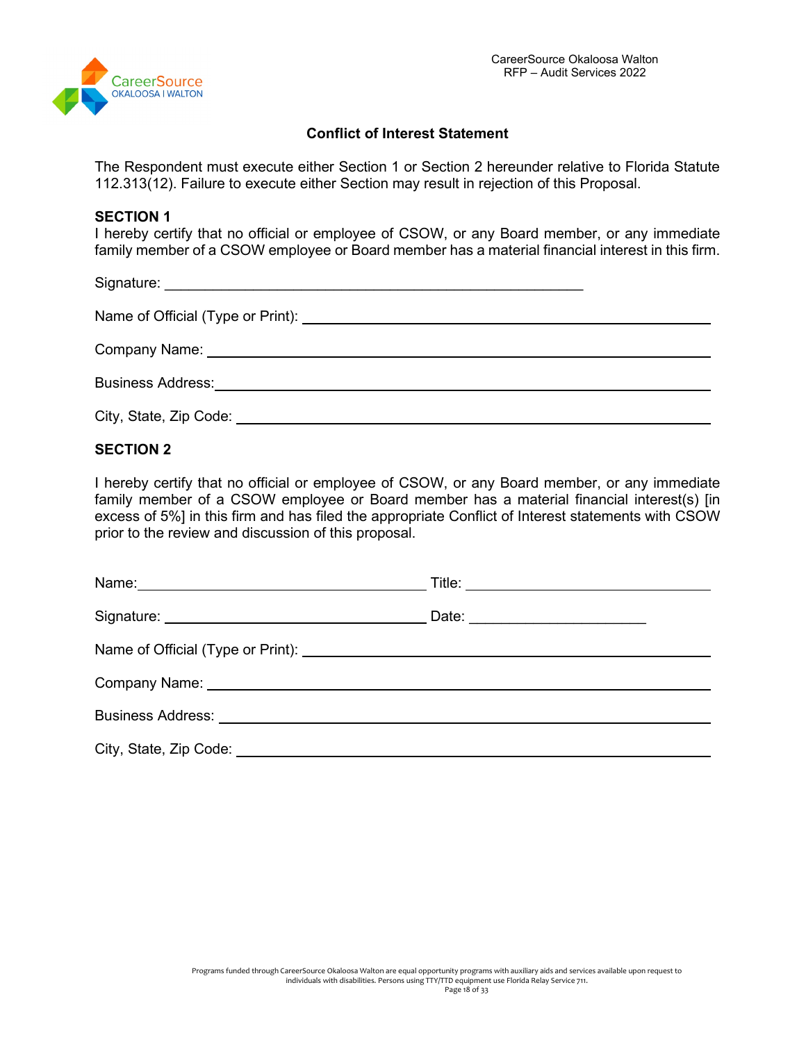

## **Conflict of Interest Statement**

The Respondent must execute either Section 1 or Section 2 hereunder relative to Florida Statute 112.313(12). Failure to execute either Section may result in rejection of this Proposal.

#### **SECTION 1**

I hereby certify that no official or employee of CSOW, or any Board member, or any immediate family member of a CSOW employee or Board member has a material financial interest in this firm.

Signature: \_\_\_\_\_\_\_\_\_\_\_\_\_\_\_\_\_\_\_\_\_\_\_\_\_\_\_\_\_\_\_\_\_\_\_\_\_\_\_\_\_\_\_\_\_\_\_\_\_\_\_\_

Name of Official (Type or Print):

Company Name:

Business Address:

City, State, Zip Code:

## **SECTION 2**

I hereby certify that no official or employee of CSOW, or any Board member, or any immediate family member of a CSOW employee or Board member has a material financial interest(s) [in excess of 5%] in this firm and has filed the appropriate Conflict of Interest statements with CSOW prior to the review and discussion of this proposal.

| Date: ________________________ |  |
|--------------------------------|--|
|                                |  |
|                                |  |
|                                |  |
|                                |  |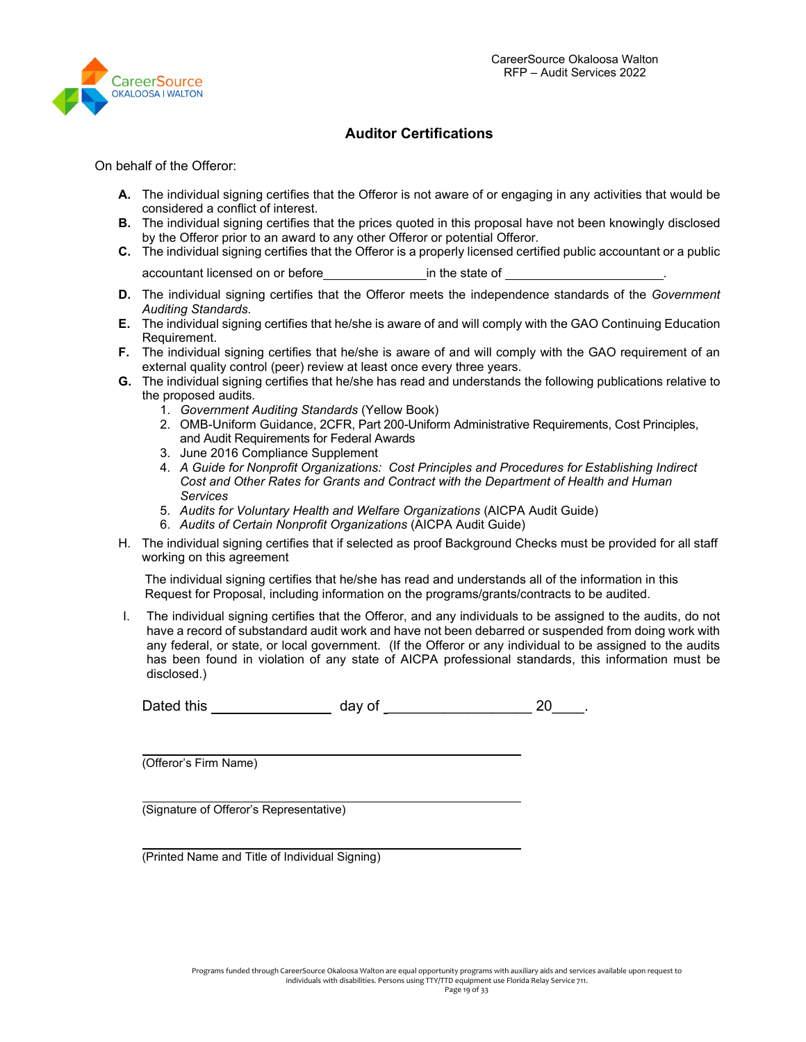

## **Auditor Certifications**

On behalf of the Offeror:

- **A.** The individual signing certifies that the Offeror is not aware of or engaging in any activities that would be considered a conflict of interest.
- **B.** The individual signing certifies that the prices quoted in this proposal have not been knowingly disclosed by the Offeror prior to an award to any other Offeror or potential Offeror.
- **C.** The individual signing certifies that the Offeror is a properly licensed certified public accountant or a public accountant licensed on or before **in the state of**  $\blacksquare$
- **D.** The individual signing certifies that the Offeror meets the independence standards of the *Government Auditing Standards.*
- **E.** The individual signing certifies that he/she is aware of and will comply with the GAO Continuing Education Requirement.
- **F.** The individual signing certifies that he/she is aware of and will comply with the GAO requirement of an external quality control (peer) review at least once every three years.
- **G.** The individual signing certifies that he/she has read and understands the following publications relative to the proposed audits*.*
	- 1. *Government Auditing Standards* (Yellow Book)
	- 2. OMB-Uniform Guidance, 2CFR, Part 200-Uniform Administrative Requirements, Cost Principles, and Audit Requirements for Federal Awards
	- 3. June 2016 Compliance Supplement
	- 4. *A Guide for Nonprofit Organizations: Cost Principles and Procedures for Establishing Indirect Cost and Other Rates for Grants and Contract with the Department of Health and Human Services*
	- 5. *Audits for Voluntary Health and Welfare Organizations* (AICPA Audit Guide)
	- 6. *Audits of Certain Nonprofit Organizations* (AICPA Audit Guide)
- H. The individual signing certifies that if selected as proof Background Checks must be provided for all staff working on this agreement

The individual signing certifies that he/she has read and understands all of the information in this Request for Proposal, including information on the programs/grants/contracts to be audited.

I. The individual signing certifies that the Offeror, and any individuals to be assigned to the audits, do not have a record of substandard audit work and have not been debarred or suspended from doing work with any federal, or state, or local government. (If the Offeror or any individual to be assigned to the audits has been found in violation of any state of AICPA professional standards, this information must be disclosed.)

| Dated this | dav of |  |  |
|------------|--------|--|--|
|------------|--------|--|--|

(Offeror's Firm Name)

(Signature of Offeror's Representative)

(Printed Name and Title of Individual Signing)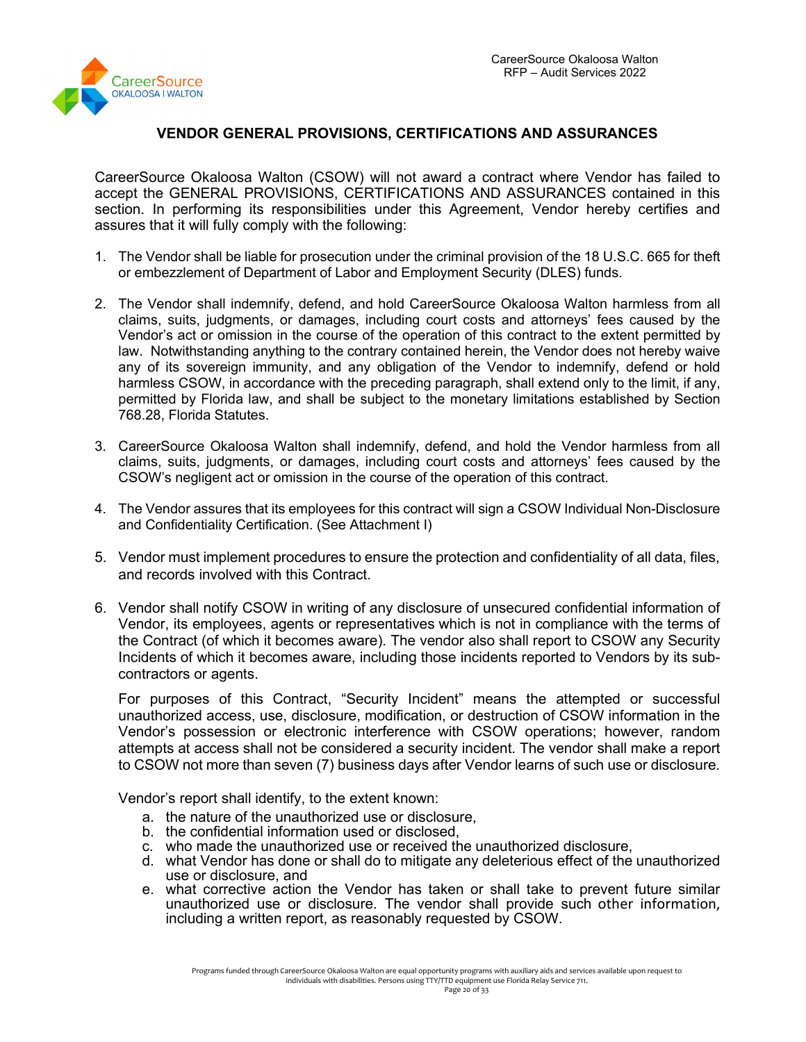

# **VENDOR GENERAL PROVISIONS, CERTIFICATIONS AND ASSURANCES**

CareerSource Okaloosa Walton (CSOW) will not award a contract where Vendor has failed to accept the GENERAL PROVISIONS, CERTIFICATIONS AND ASSURANCES contained in this section. In performing its responsibilities under this Agreement, Vendor hereby certifies and assures that it will fully comply with the following:

- 1. The Vendor shall be liable for prosecution under the criminal provision of the 18 U.S.C. 665 for theft or embezzlement of Department of Labor and Employment Security (DLES) funds.
- 2. The Vendor shall indemnify, defend, and hold CareerSource Okaloosa Walton harmless from all claims, suits, judgments, or damages, including court costs and attorneys' fees caused by the Vendor's act or omission in the course of the operation of this contract to the extent permitted by law. Notwithstanding anything to the contrary contained herein, the Vendor does not hereby waive any of its sovereign immunity, and any obligation of the Vendor to indemnify, defend or hold harmless CSOW, in accordance with the preceding paragraph, shall extend only to the limit, if any, permitted by Florida law, and shall be subject to the monetary limitations established by Section 768.28, Florida Statutes.
- 3. CareerSource Okaloosa Walton shall indemnify, defend, and hold the Vendor harmless from all claims, suits, judgments, or damages, including court costs and attorneys' fees caused by the CSOW's negligent act or omission in the course of the operation of this contract.
- 4. The Vendor assures that its employees for this contract will sign a CSOW Individual Non-Disclosure and Confidentiality Certification. (See Attachment I)
- 5. Vendor must implement procedures to ensure the protection and confidentiality of all data, files, and records involved with this Contract.
- 6. Vendor shall notify CSOW in writing of any disclosure of unsecured confidential information of Vendor, its employees, agents or representatives which is not in compliance with the terms of the Contract (of which it becomes aware). The vendor also shall report to CSOW any Security Incidents of which it becomes aware, including those incidents reported to Vendors by its subcontractors or agents.

For purposes of this Contract, "Security Incident" means the attempted or successful unauthorized access, use, disclosure, modification, or destruction of CSOW information in the Vendor's possession or electronic interference with CSOW operations; however, random attempts at access shall not be considered a security incident. The vendor shall make a report to CSOW not more than seven (7) business days after Vendor learns of such use or disclosure.

Vendor's report shall identify, to the extent known:

- a. the nature of the unauthorized use or disclosure,
- b. the confidential information used or disclosed,
- c. who made the unauthorized use or received the unauthorized disclosure,
- d. what Vendor has done or shall do to mitigate any deleterious effect of the unauthorized use or disclosure, and
- e. what corrective action the Vendor has taken or shall take to prevent future similar unauthorized use or disclosure. The vendor shall provide such other information, including a written report, as reasonably requested by CSOW.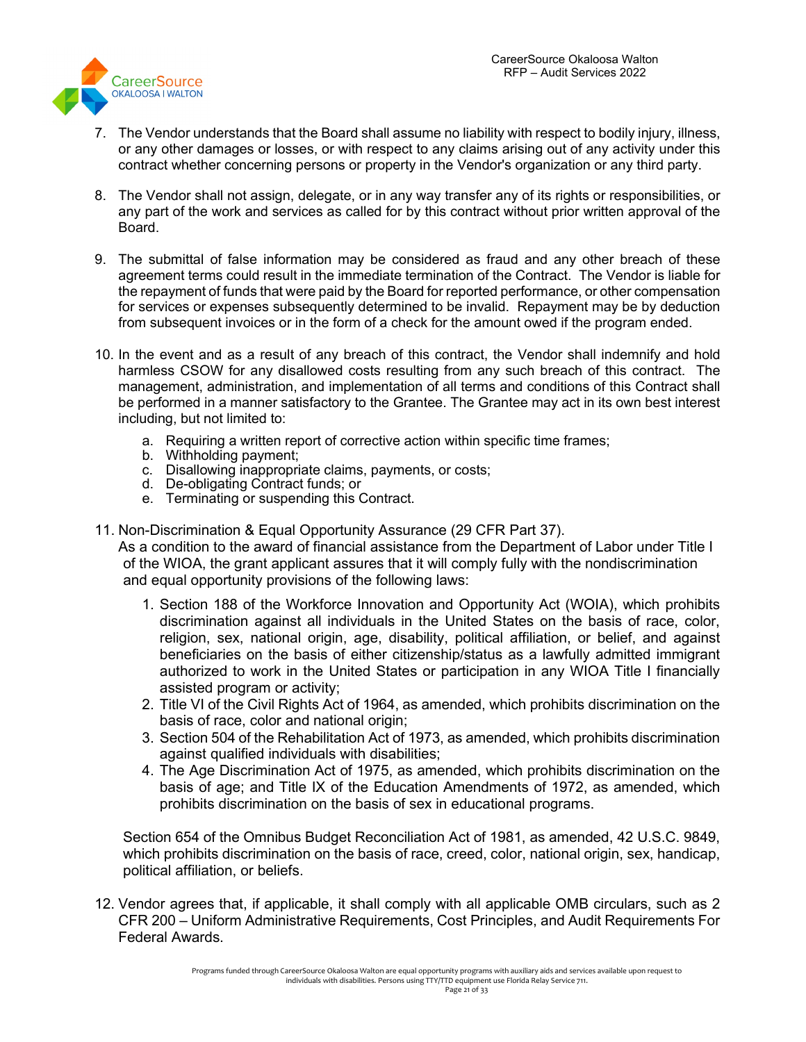

- 7. The Vendor understands that the Board shall assume no liability with respect to bodily injury, illness, or any other damages or losses, or with respect to any claims arising out of any activity under this contract whether concerning persons or property in the Vendor's organization or any third party.
- 8. The Vendor shall not assign, delegate, or in any way transfer any of its rights or responsibilities, or any part of the work and services as called for by this contract without prior written approval of the Board.
- 9. The submittal of false information may be considered as fraud and any other breach of these agreement terms could result in the immediate termination of the Contract. The Vendor is liable for the repayment of funds that were paid by the Board for reported performance, or other compensation for services or expenses subsequently determined to be invalid. Repayment may be by deduction from subsequent invoices or in the form of a check for the amount owed if the program ended.
- 10. In the event and as a result of any breach of this contract, the Vendor shall indemnify and hold harmless CSOW for any disallowed costs resulting from any such breach of this contract. The management, administration, and implementation of all terms and conditions of this Contract shall be performed in a manner satisfactory to the Grantee. The Grantee may act in its own best interest including, but not limited to:
	- a. Requiring a written report of corrective action within specific time frames;
	- b. Withholding payment;
	- c. Disallowing inappropriate claims, payments, or costs;
	- d. De-obligating Contract funds; or
	- e. Terminating or suspending this Contract.
- 11. Non-Discrimination & Equal Opportunity Assurance (29 CFR Part 37).

As a condition to the award of financial assistance from the Department of Labor under Title I of the WIOA, the grant applicant assures that it will comply fully with the nondiscrimination and equal opportunity provisions of the following laws:

- 1. Section 188 of the Workforce Innovation and Opportunity Act (WOIA), which prohibits discrimination against all individuals in the United States on the basis of race, color, religion, sex, national origin, age, disability, political affiliation, or belief, and against beneficiaries on the basis of either citizenship/status as a lawfully admitted immigrant authorized to work in the United States or participation in any WIOA Title I financially assisted program or activity;
- 2. Title VI of the Civil Rights Act of 1964, as amended, which prohibits discrimination on the basis of race, color and national origin;
- 3. Section 504 of the Rehabilitation Act of 1973, as amended, which prohibits discrimination against qualified individuals with disabilities;
- 4. The Age Discrimination Act of 1975, as amended, which prohibits discrimination on the basis of age; and Title IX of the Education Amendments of 1972, as amended, which prohibits discrimination on the basis of sex in educational programs.

Section 654 of the Omnibus Budget Reconciliation Act of 1981, as amended, 42 U.S.C. 9849, which prohibits discrimination on the basis of race, creed, color, national origin, sex, handicap, political affiliation, or beliefs.

12. Vendor agrees that, if applicable, it shall comply with all applicable OMB circulars, such as 2 CFR 200 – Uniform Administrative Requirements, Cost Principles, and Audit Requirements For Federal Awards.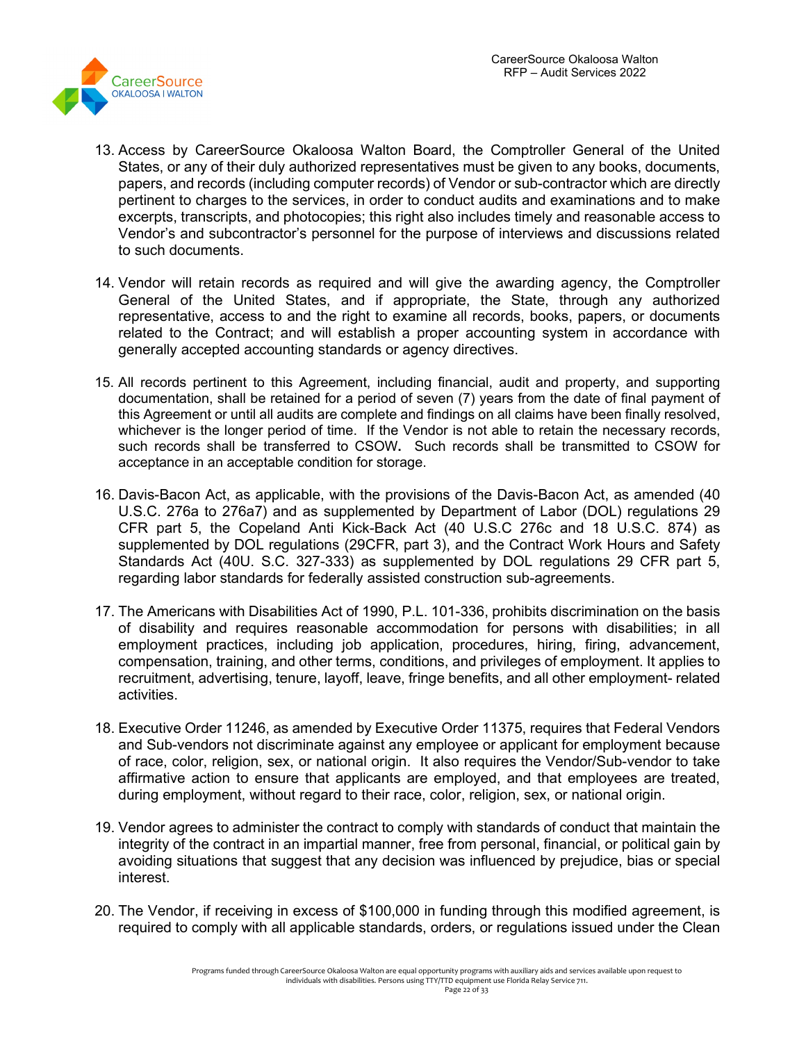

- 13. Access by CareerSource Okaloosa Walton Board, the Comptroller General of the United States, or any of their duly authorized representatives must be given to any books, documents, papers, and records (including computer records) of Vendor or sub-contractor which are directly pertinent to charges to the services, in order to conduct audits and examinations and to make excerpts, transcripts, and photocopies; this right also includes timely and reasonable access to Vendor's and subcontractor's personnel for the purpose of interviews and discussions related to such documents.
- 14. Vendor will retain records as required and will give the awarding agency, the Comptroller General of the United States, and if appropriate, the State, through any authorized representative, access to and the right to examine all records, books, papers, or documents related to the Contract; and will establish a proper accounting system in accordance with generally accepted accounting standards or agency directives.
- 15. All records pertinent to this Agreement, including financial, audit and property, and supporting documentation, shall be retained for a period of seven (7) years from the date of final payment of this Agreement or until all audits are complete and findings on all claims have been finally resolved, whichever is the longer period of time. If the Vendor is not able to retain the necessary records, such records shall be transferred to CSOW**.** Such records shall be transmitted to CSOW for acceptance in an acceptable condition for storage.
- 16. Davis-Bacon Act, as applicable, with the provisions of the Davis-Bacon Act, as amended (40 U.S.C. 276a to 276a7) and as supplemented by Department of Labor (DOL) regulations 29 CFR part 5, the Copeland Anti Kick-Back Act (40 U.S.C 276c and 18 U.S.C. 874) as supplemented by DOL regulations (29CFR, part 3), and the Contract Work Hours and Safety Standards Act (40U. S.C. 327-333) as supplemented by DOL regulations 29 CFR part 5, regarding labor standards for federally assisted construction sub-agreements.
- 17. The Americans with Disabilities Act of 1990, P.L. 101-336, prohibits discrimination on the basis of disability and requires reasonable accommodation for persons with disabilities; in all employment practices, including job application, procedures, hiring, firing, advancement, compensation, training, and other terms, conditions, and privileges of employment. It applies to recruitment, advertising, tenure, layoff, leave, fringe benefits, and all other employment- related activities.
- 18. Executive Order 11246, as amended by Executive Order 11375, requires that Federal Vendors and Sub-vendors not discriminate against any employee or applicant for employment because of race, color, religion, sex, or national origin. It also requires the Vendor/Sub-vendor to take affirmative action to ensure that applicants are employed, and that employees are treated, during employment, without regard to their race, color, religion, sex, or national origin.
- 19. Vendor agrees to administer the contract to comply with standards of conduct that maintain the integrity of the contract in an impartial manner, free from personal, financial, or political gain by avoiding situations that suggest that any decision was influenced by prejudice, bias or special interest.
- 20. The Vendor, if receiving in excess of \$100,000 in funding through this modified agreement, is required to comply with all applicable standards, orders, or regulations issued under the Clean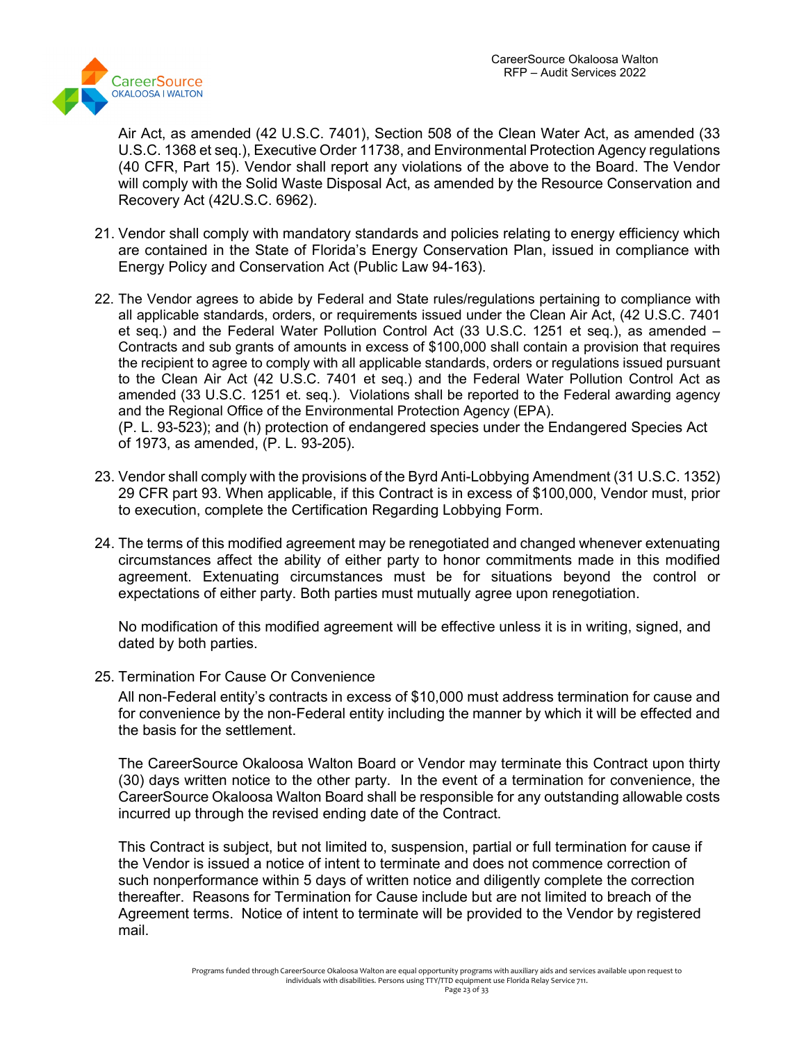

Air Act, as amended (42 U.S.C. 7401), Section 508 of the Clean Water Act, as amended (33 U.S.C. 1368 et seq.), Executive Order 11738, and Environmental Protection Agency regulations (40 CFR, Part 15). Vendor shall report any violations of the above to the Board. The Vendor will comply with the Solid Waste Disposal Act, as amended by the Resource Conservation and Recovery Act (42U.S.C. 6962).

- 21. Vendor shall comply with mandatory standards and policies relating to energy efficiency which are contained in the State of Florida's Energy Conservation Plan, issued in compliance with Energy Policy and Conservation Act (Public Law 94-163).
- 22. The Vendor agrees to abide by Federal and State rules/regulations pertaining to compliance with all applicable standards, orders, or requirements issued under the Clean Air Act, (42 U.S.C. 7401 et seq.) and the Federal Water Pollution Control Act (33 U.S.C. 1251 et seq.), as amended – Contracts and sub grants of amounts in excess of \$100,000 shall contain a provision that requires the recipient to agree to comply with all applicable standards, orders or regulations issued pursuant to the Clean Air Act (42 U.S.C. 7401 et seq.) and the Federal Water Pollution Control Act as amended (33 U.S.C. 1251 et. seq.). Violations shall be reported to the Federal awarding agency and the Regional Office of the Environmental Protection Agency (EPA). (P. L. 93-523); and (h) protection of endangered species under the Endangered Species Act

of 1973, as amended, (P. L. 93-205).

- 23. Vendor shall comply with the provisions of the Byrd Anti-Lobbying Amendment (31 U.S.C. 1352) 29 CFR part 93. When applicable, if this Contract is in excess of \$100,000, Vendor must, prior to execution, complete the Certification Regarding Lobbying Form.
- 24. The terms of this modified agreement may be renegotiated and changed whenever extenuating circumstances affect the ability of either party to honor commitments made in this modified agreement. Extenuating circumstances must be for situations beyond the control or expectations of either party. Both parties must mutually agree upon renegotiation.

No modification of this modified agreement will be effective unless it is in writing, signed, and dated by both parties.

25. Termination For Cause Or Convenience

All non-Federal entity's contracts in excess of \$10,000 must address termination for cause and for convenience by the non-Federal entity including the manner by which it will be effected and the basis for the settlement.

The CareerSource Okaloosa Walton Board or Vendor may terminate this Contract upon thirty (30) days written notice to the other party. In the event of a termination for convenience, the CareerSource Okaloosa Walton Board shall be responsible for any outstanding allowable costs incurred up through the revised ending date of the Contract.

This Contract is subject, but not limited to, suspension, partial or full termination for cause if the Vendor is issued a notice of intent to terminate and does not commence correction of such nonperformance within 5 days of written notice and diligently complete the correction thereafter. Reasons for Termination for Cause include but are not limited to breach of the Agreement terms. Notice of intent to terminate will be provided to the Vendor by registered mail.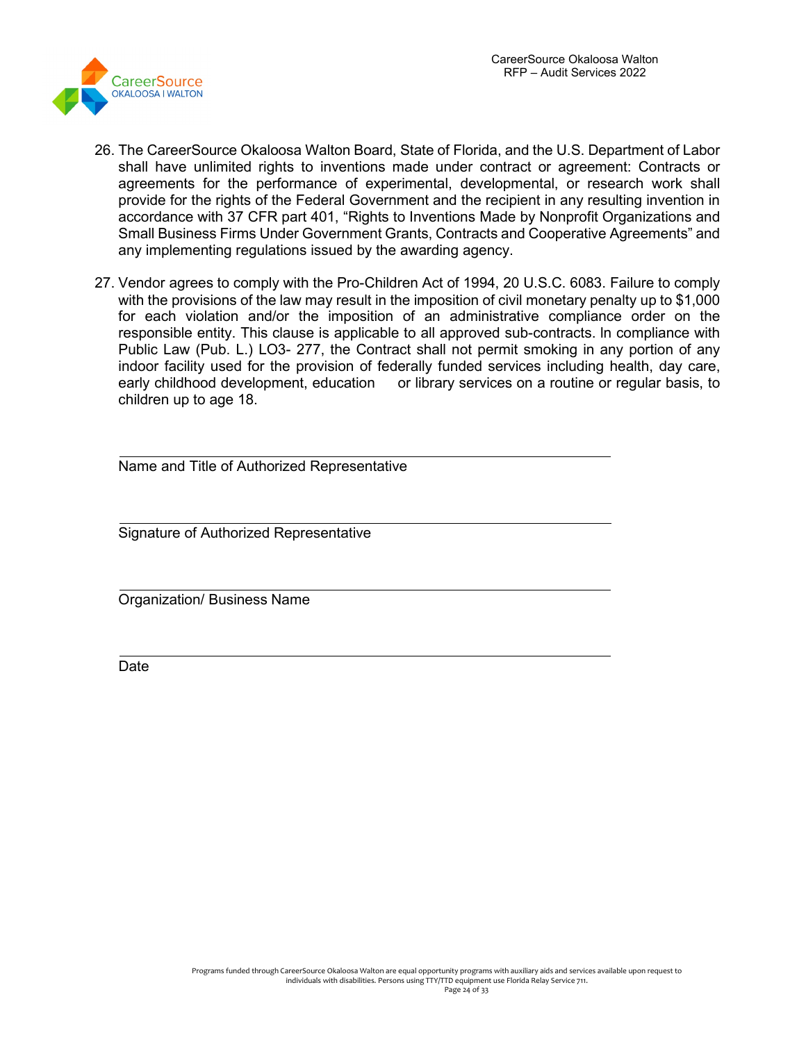

- 26. The CareerSource Okaloosa Walton Board, State of Florida, and the U.S. Department of Labor shall have unlimited rights to inventions made under contract or agreement: Contracts or agreements for the performance of experimental, developmental, or research work shall provide for the rights of the Federal Government and the recipient in any resulting invention in accordance with 37 CFR part 401, "Rights to Inventions Made by Nonprofit Organizations and Small Business Firms Under Government Grants, Contracts and Cooperative Agreements" and any implementing regulations issued by the awarding agency.
- 27. Vendor agrees to comply with the Pro-Children Act of 1994, 20 U.S.C. 6083. Failure to comply with the provisions of the law may result in the imposition of civil monetary penalty up to \$1,000 for each violation and/or the imposition of an administrative compliance order on the responsible entity. This clause is applicable to all approved sub-contracts. ln compliance with Public Law (Pub. L.) LO3- 277, the Contract shall not permit smoking in any portion of any indoor facility used for the provision of federally funded services including health, day care, early childhood development, education or library services on a routine or regular basis, to children up to age 18.

Name and Title of Authorized Representative

Signature of Authorized Representative

Organization/ Business Name

Date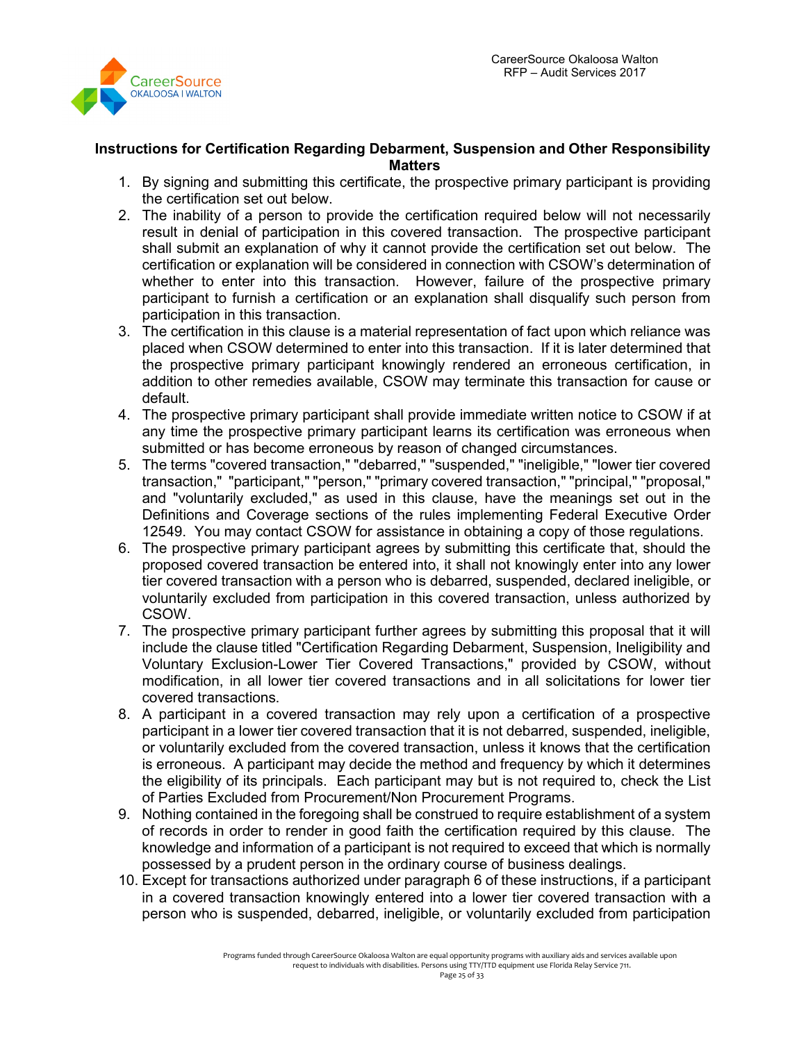

#### **Instructions for Certification Regarding Debarment, Suspension and Other Responsibility Matters**

- 1. By signing and submitting this certificate, the prospective primary participant is providing the certification set out below.
- 2. The inability of a person to provide the certification required below will not necessarily result in denial of participation in this covered transaction. The prospective participant shall submit an explanation of why it cannot provide the certification set out below. The certification or explanation will be considered in connection with CSOW's determination of whether to enter into this transaction. However, failure of the prospective primary participant to furnish a certification or an explanation shall disqualify such person from participation in this transaction.
- 3. The certification in this clause is a material representation of fact upon which reliance was placed when CSOW determined to enter into this transaction. If it is later determined that the prospective primary participant knowingly rendered an erroneous certification, in addition to other remedies available, CSOW may terminate this transaction for cause or default.
- 4. The prospective primary participant shall provide immediate written notice to CSOW if at any time the prospective primary participant learns its certification was erroneous when submitted or has become erroneous by reason of changed circumstances.
- 5. The terms "covered transaction," "debarred," "suspended," "ineligible," "lower tier covered transaction," "participant," "person," "primary covered transaction," "principal," "proposal," and "voluntarily excluded," as used in this clause, have the meanings set out in the Definitions and Coverage sections of the rules implementing Federal Executive Order 12549. You may contact CSOW for assistance in obtaining a copy of those regulations.
- 6. The prospective primary participant agrees by submitting this certificate that, should the proposed covered transaction be entered into, it shall not knowingly enter into any lower tier covered transaction with a person who is debarred, suspended, declared ineligible, or voluntarily excluded from participation in this covered transaction, unless authorized by CSOW.
- 7. The prospective primary participant further agrees by submitting this proposal that it will include the clause titled "Certification Regarding Debarment, Suspension, Ineligibility and Voluntary Exclusion-Lower Tier Covered Transactions," provided by CSOW, without modification, in all lower tier covered transactions and in all solicitations for lower tier covered transactions.
- 8. A participant in a covered transaction may rely upon a certification of a prospective participant in a lower tier covered transaction that it is not debarred, suspended, ineligible, or voluntarily excluded from the covered transaction, unless it knows that the certification is erroneous. A participant may decide the method and frequency by which it determines the eligibility of its principals. Each participant may but is not required to, check the List of Parties Excluded from Procurement/Non Procurement Programs.
- 9. Nothing contained in the foregoing shall be construed to require establishment of a system of records in order to render in good faith the certification required by this clause. The knowledge and information of a participant is not required to exceed that which is normally possessed by a prudent person in the ordinary course of business dealings.
- 10. Except for transactions authorized under paragraph 6 of these instructions, if a participant in a covered transaction knowingly entered into a lower tier covered transaction with a person who is suspended, debarred, ineligible, or voluntarily excluded from participation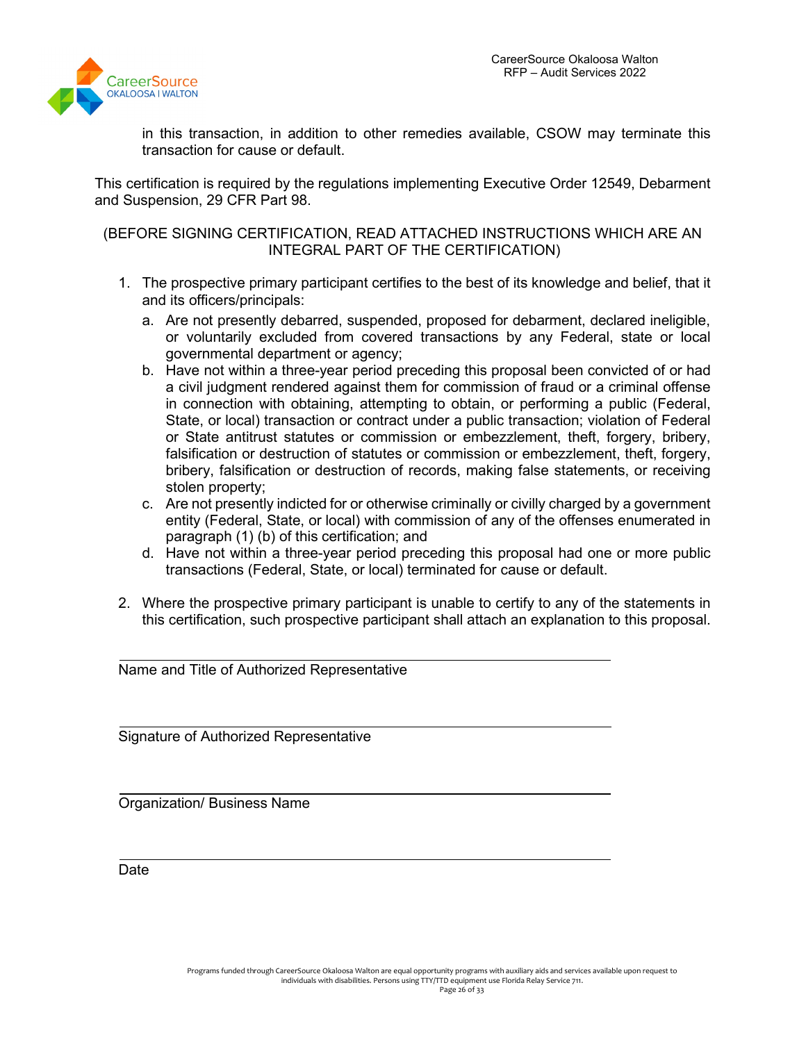

in this transaction, in addition to other remedies available, CSOW may terminate this transaction for cause or default.

This certification is required by the regulations implementing Executive Order 12549, Debarment and Suspension, 29 CFR Part 98.

#### (BEFORE SIGNING CERTIFICATION, READ ATTACHED INSTRUCTIONS WHICH ARE AN INTEGRAL PART OF THE CERTIFICATION)

- 1. The prospective primary participant certifies to the best of its knowledge and belief, that it and its officers/principals:
	- a. Are not presently debarred, suspended, proposed for debarment, declared ineligible, or voluntarily excluded from covered transactions by any Federal, state or local governmental department or agency;
	- b. Have not within a three-year period preceding this proposal been convicted of or had a civil judgment rendered against them for commission of fraud or a criminal offense in connection with obtaining, attempting to obtain, or performing a public (Federal, State, or local) transaction or contract under a public transaction; violation of Federal or State antitrust statutes or commission or embezzlement, theft, forgery, bribery, falsification or destruction of statutes or commission or embezzlement, theft, forgery, bribery, falsification or destruction of records, making false statements, or receiving stolen property;
	- c. Are not presently indicted for or otherwise criminally or civilly charged by a government entity (Federal, State, or local) with commission of any of the offenses enumerated in paragraph (1) (b) of this certification; and
	- d. Have not within a three-year period preceding this proposal had one or more public transactions (Federal, State, or local) terminated for cause or default.
- 2. Where the prospective primary participant is unable to certify to any of the statements in this certification, such prospective participant shall attach an explanation to this proposal.

Name and Title of Authorized Representative

Signature of Authorized Representative

Organization/ Business Name

**Date**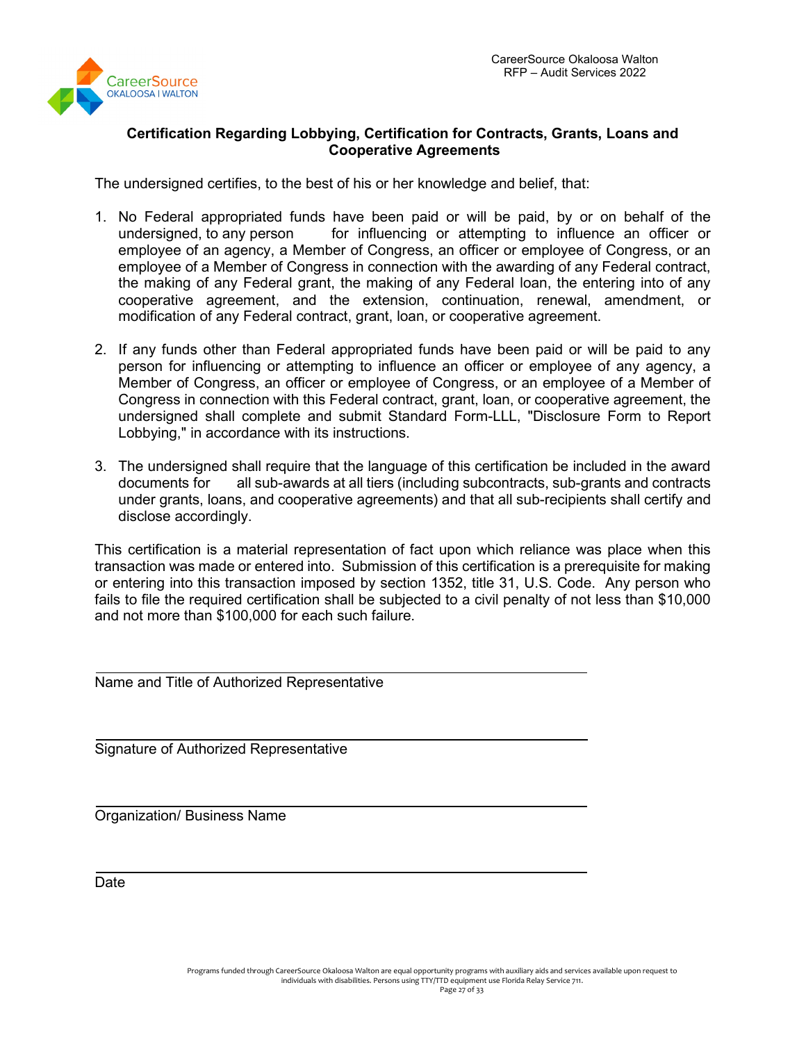

# **Certification Regarding Lobbying, Certification for Contracts, Grants, Loans and Cooperative Agreements**

The undersigned certifies, to the best of his or her knowledge and belief, that:

- 1. No Federal appropriated funds have been paid or will be paid, by or on behalf of the undersigned, to any person for influencing or attempting to influence an officer or employee of an agency, a Member of Congress, an officer or employee of Congress, or an employee of a Member of Congress in connection with the awarding of any Federal contract, the making of any Federal grant, the making of any Federal loan, the entering into of any cooperative agreement, and the extension, continuation, renewal, amendment, or modification of any Federal contract, grant, loan, or cooperative agreement.
- 2. If any funds other than Federal appropriated funds have been paid or will be paid to any person for influencing or attempting to influence an officer or employee of any agency, a Member of Congress, an officer or employee of Congress, or an employee of a Member of Congress in connection with this Federal contract, grant, loan, or cooperative agreement, the undersigned shall complete and submit Standard Form-LLL, "Disclosure Form to Report Lobbying," in accordance with its instructions.
- 3. The undersigned shall require that the language of this certification be included in the award documents for all sub-awards at all tiers (including subcontracts, sub-grants and contracts under grants, loans, and cooperative agreements) and that all sub-recipients shall certify and disclose accordingly.

This certification is a material representation of fact upon which reliance was place when this transaction was made or entered into. Submission of this certification is a prerequisite for making or entering into this transaction imposed by section 1352, title 31, U.S. Code. Any person who fails to file the required certification shall be subjected to a civil penalty of not less than \$10,000 and not more than \$100,000 for each such failure.

Name and Title of Authorized Representative

Signature of Authorized Representative

Organization/ Business Name

Date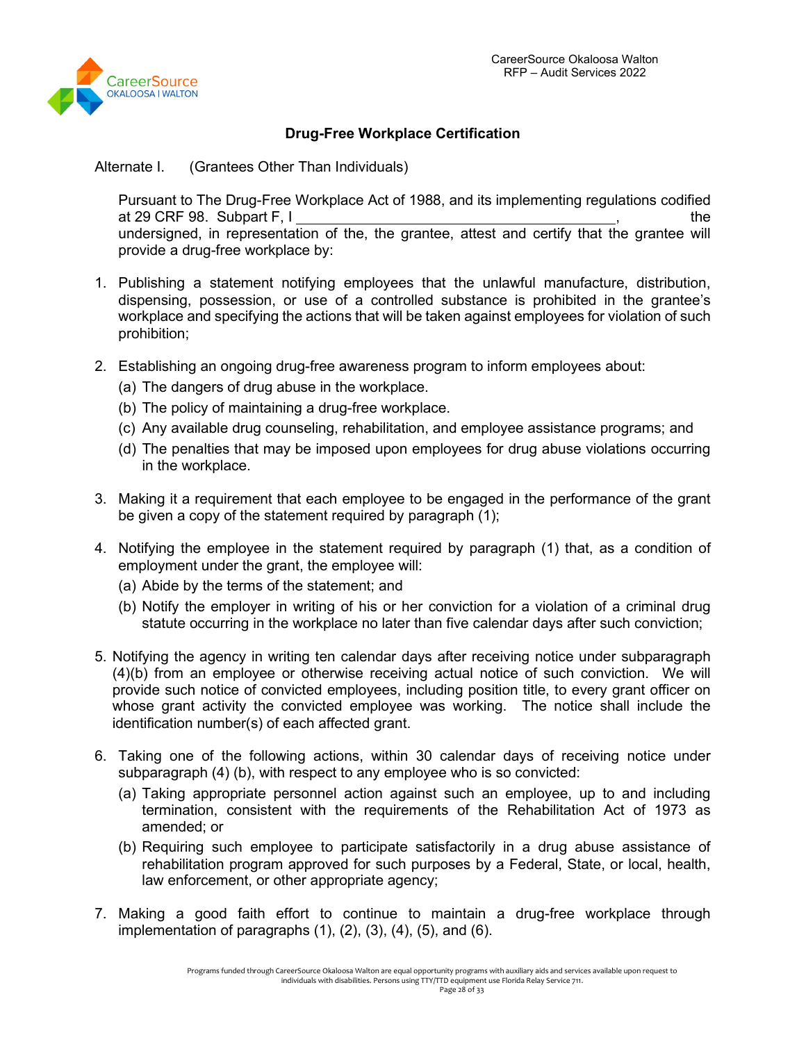

# **Drug-Free Workplace Certification**

Alternate I. (Grantees Other Than Individuals)

Pursuant to The Drug-Free Workplace Act of 1988, and its implementing regulations codified at 29 CRF 98. Subpart F, I and the set of the set of the set of the set of the set of the set of the set of the undersigned, in representation of the, the grantee, attest and certify that the grantee will provide a drug-free workplace by:

- 1. Publishing a statement notifying employees that the unlawful manufacture, distribution, dispensing, possession, or use of a controlled substance is prohibited in the grantee's workplace and specifying the actions that will be taken against employees for violation of such prohibition;
- 2. Establishing an ongoing drug-free awareness program to inform employees about:
	- (a) The dangers of drug abuse in the workplace.
	- (b) The policy of maintaining a drug-free workplace.
	- (c) Any available drug counseling, rehabilitation, and employee assistance programs; and
	- (d) The penalties that may be imposed upon employees for drug abuse violations occurring in the workplace.
- 3. Making it a requirement that each employee to be engaged in the performance of the grant be given a copy of the statement required by paragraph (1);
- 4. Notifying the employee in the statement required by paragraph (1) that, as a condition of employment under the grant, the employee will:
	- (a) Abide by the terms of the statement; and
	- (b) Notify the employer in writing of his or her conviction for a violation of a criminal drug statute occurring in the workplace no later than five calendar days after such conviction;
- 5. Notifying the agency in writing ten calendar days after receiving notice under subparagraph (4)(b) from an employee or otherwise receiving actual notice of such conviction. We will provide such notice of convicted employees, including position title, to every grant officer on whose grant activity the convicted employee was working. The notice shall include the identification number(s) of each affected grant.
- 6. Taking one of the following actions, within 30 calendar days of receiving notice under subparagraph (4) (b), with respect to any employee who is so convicted:
	- (a) Taking appropriate personnel action against such an employee, up to and including termination, consistent with the requirements of the Rehabilitation Act of 1973 as amended; or
	- (b) Requiring such employee to participate satisfactorily in a drug abuse assistance of rehabilitation program approved for such purposes by a Federal, State, or local, health, law enforcement, or other appropriate agency;
- 7. Making a good faith effort to continue to maintain a drug-free workplace through implementation of paragraphs  $(1)$ ,  $(2)$ ,  $(3)$ ,  $(4)$ ,  $(5)$ , and  $(6)$ .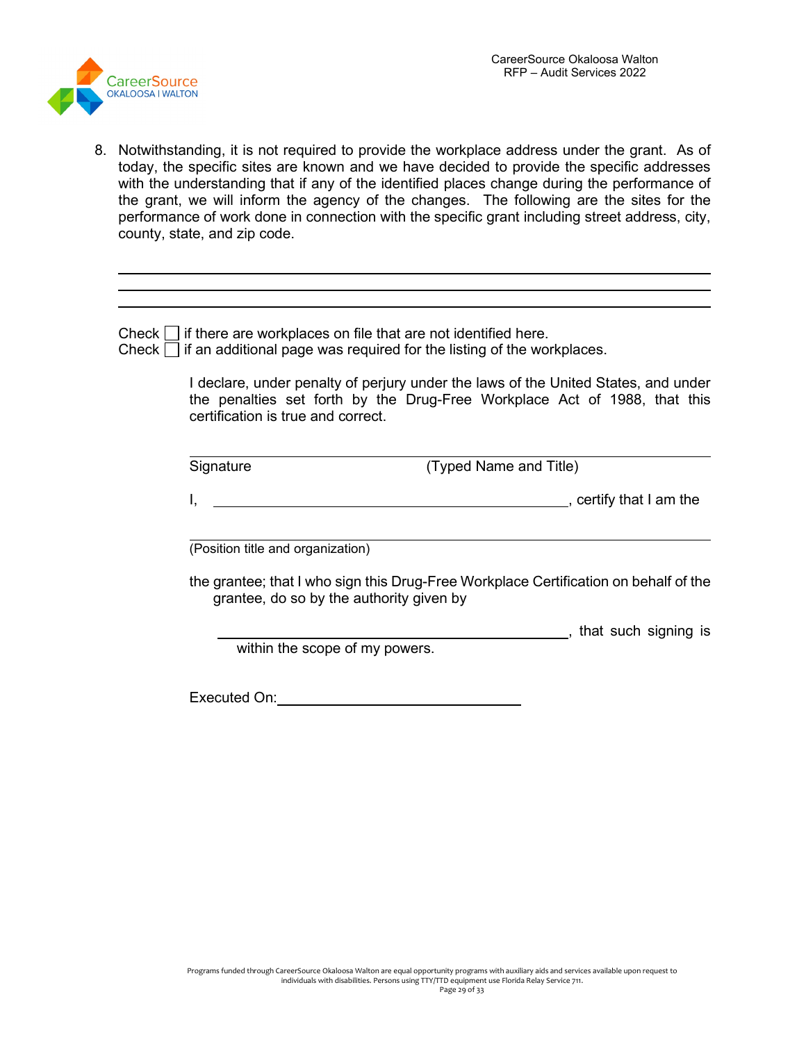

8. Notwithstanding, it is not required to provide the workplace address under the grant. As of today, the specific sites are known and we have decided to provide the specific addresses with the understanding that if any of the identified places change during the performance of the grant, we will inform the agency of the changes. The following are the sites for the performance of work done in connection with the specific grant including street address, city, county, state, and zip code.

Check  $\Box$  if there are workplaces on file that are not identified here. Check  $\Box$  if an additional page was required for the listing of the workplaces.

> I declare, under penalty of perjury under the laws of the United States, and under the penalties set forth by the Drug-Free Workplace Act of 1988, that this certification is true and correct.

Signature (Typed Name and Title)

, that such signing is

I, the contract of the contract of the contract of the contract of the contract of the contract of the contract of the contract of the contract of the contract of the contract of the contract of the contract of the contrac

 $\overline{a}$ (Position title and organization)

the grantee; that I who sign this Drug-Free Workplace Certification on behalf of the grantee, do so by the authority given by

within the scope of my powers.

Executed On: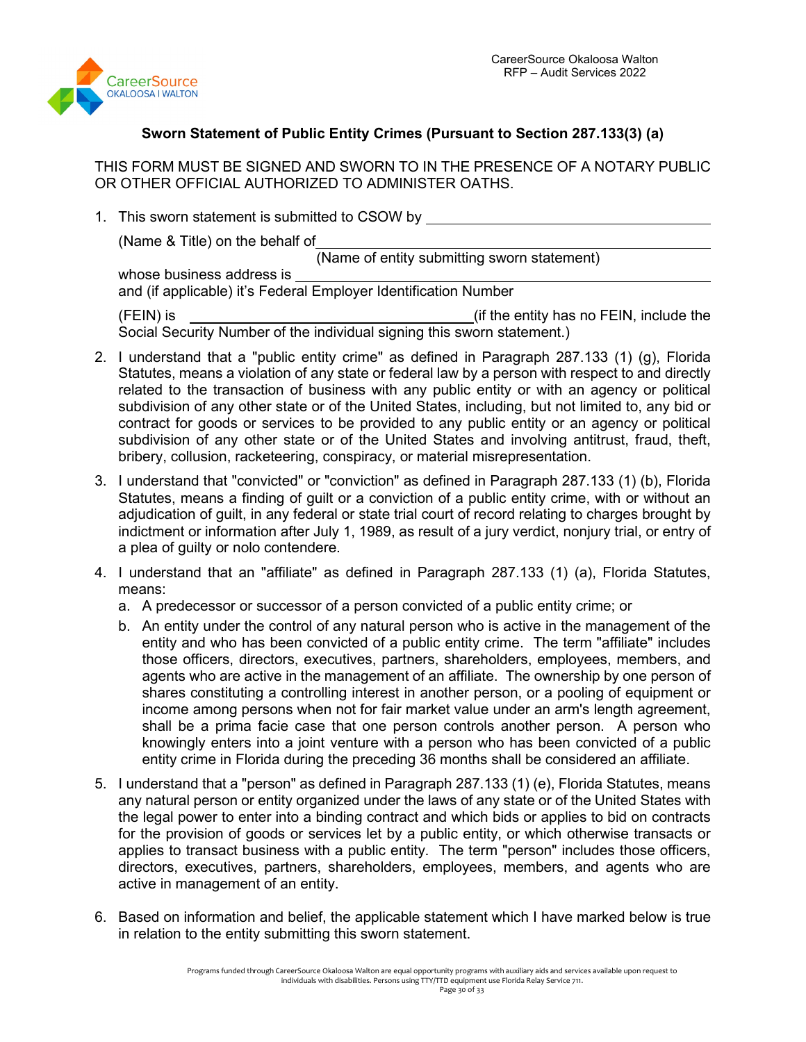

# **Sworn Statement of Public Entity Crimes (Pursuant to Section 287.133(3) (a)**

THIS FORM MUST BE SIGNED AND SWORN TO IN THE PRESENCE OF A NOTARY PUBLIC OR OTHER OFFICIAL AUTHORIZED TO ADMINISTER OATHS.

1. This sworn statement is submitted to CSOW by

(Name & Title) on the behalf of

(Name of entity submitting sworn statement)

whose business address is and (if applicable) it's Federal Employer Identification Number

(FEIN) is (if the entity has no FEIN, include the Social Security Number of the individual signing this sworn statement.)

- 2. I understand that a "public entity crime" as defined in Paragraph 287.133 (1) (g), Florida Statutes, means a violation of any state or federal law by a person with respect to and directly related to the transaction of business with any public entity or with an agency or political subdivision of any other state or of the United States, including, but not limited to, any bid or contract for goods or services to be provided to any public entity or an agency or political subdivision of any other state or of the United States and involving antitrust, fraud, theft, bribery, collusion, racketeering, conspiracy, or material misrepresentation.
- 3. I understand that "convicted" or "conviction" as defined in Paragraph 287.133 (1) (b), Florida Statutes, means a finding of guilt or a conviction of a public entity crime, with or without an adjudication of guilt, in any federal or state trial court of record relating to charges brought by indictment or information after July 1, 1989, as result of a jury verdict, nonjury trial, or entry of a plea of guilty or nolo contendere.
- 4. I understand that an "affiliate" as defined in Paragraph 287.133 (1) (a), Florida Statutes, means:
	- a. A predecessor or successor of a person convicted of a public entity crime; or
	- b. An entity under the control of any natural person who is active in the management of the entity and who has been convicted of a public entity crime. The term "affiliate" includes those officers, directors, executives, partners, shareholders, employees, members, and agents who are active in the management of an affiliate. The ownership by one person of shares constituting a controlling interest in another person, or a pooling of equipment or income among persons when not for fair market value under an arm's length agreement, shall be a prima facie case that one person controls another person. A person who knowingly enters into a joint venture with a person who has been convicted of a public entity crime in Florida during the preceding 36 months shall be considered an affiliate.
- 5. I understand that a "person" as defined in Paragraph 287.133 (1) (e), Florida Statutes, means any natural person or entity organized under the laws of any state or of the United States with the legal power to enter into a binding contract and which bids or applies to bid on contracts for the provision of goods or services let by a public entity, or which otherwise transacts or applies to transact business with a public entity. The term "person" includes those officers, directors, executives, partners, shareholders, employees, members, and agents who are active in management of an entity.
- 6. Based on information and belief, the applicable statement which I have marked below is true in relation to the entity submitting this sworn statement.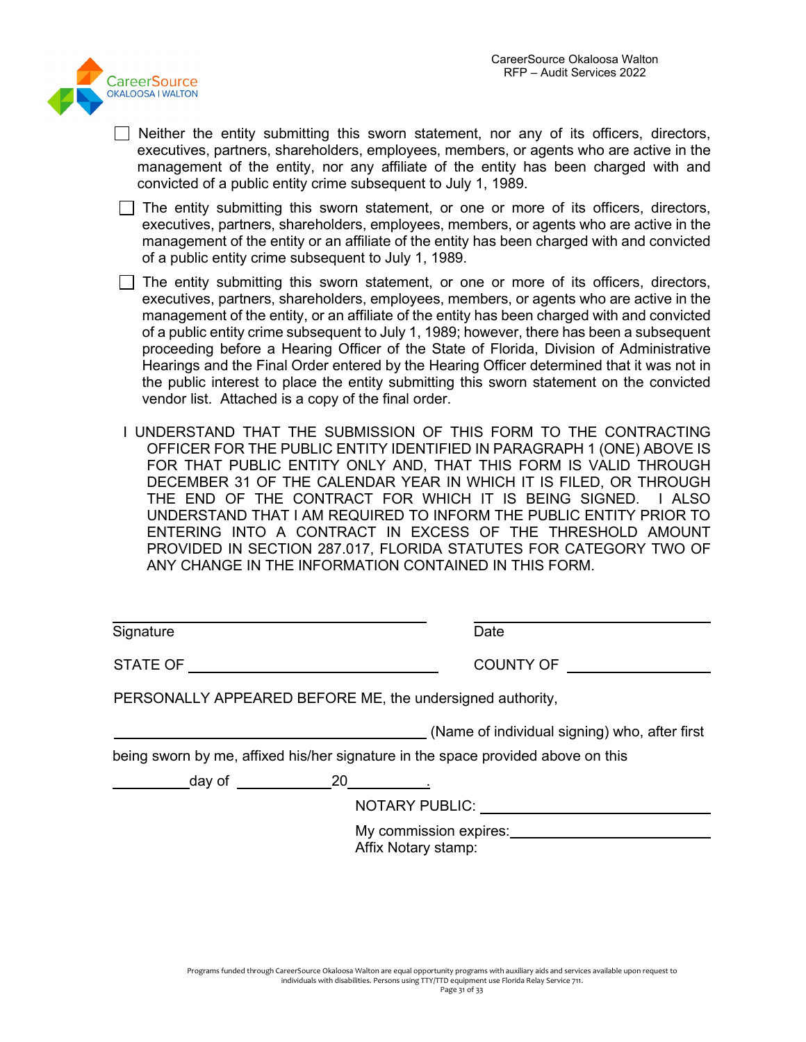

- $\Box$  Neither the entity submitting this sworn statement, nor any of its officers, directors, executives, partners, shareholders, employees, members, or agents who are active in the management of the entity, nor any affiliate of the entity has been charged with and convicted of a public entity crime subsequent to July 1, 1989.
- $\Box$  The entity submitting this sworn statement, or one or more of its officers, directors, executives, partners, shareholders, employees, members, or agents who are active in the management of the entity or an affiliate of the entity has been charged with and convicted of a public entity crime subsequent to July 1, 1989.
- $\Box$  The entity submitting this sworn statement, or one or more of its officers, directors, executives, partners, shareholders, employees, members, or agents who are active in the management of the entity, or an affiliate of the entity has been charged with and convicted of a public entity crime subsequent to July 1, 1989; however, there has been a subsequent proceeding before a Hearing Officer of the State of Florida, Division of Administrative Hearings and the Final Order entered by the Hearing Officer determined that it was not in the public interest to place the entity submitting this sworn statement on the convicted vendor list. Attached is a copy of the final order.
- I UNDERSTAND THAT THE SUBMISSION OF THIS FORM TO THE CONTRACTING OFFICER FOR THE PUBLIC ENTITY IDENTIFIED IN PARAGRAPH 1 (ONE) ABOVE IS FOR THAT PUBLIC ENTITY ONLY AND, THAT THIS FORM IS VALID THROUGH DECEMBER 31 OF THE CALENDAR YEAR IN WHICH IT IS FILED, OR THROUGH THE END OF THE CONTRACT FOR WHICH IT IS BEING SIGNED. I ALSO UNDERSTAND THAT I AM REQUIRED TO INFORM THE PUBLIC ENTITY PRIOR TO ENTERING INTO A CONTRACT IN EXCESS OF THE THRESHOLD AMOUNT PROVIDED IN SECTION 287.017, FLORIDA STATUTES FOR CATEGORY TWO OF ANY CHANGE IN THE INFORMATION CONTAINED IN THIS FORM.

| Signature                                                                        |  | Date      |                                               |
|----------------------------------------------------------------------------------|--|-----------|-----------------------------------------------|
| STATE OF                                                                         |  | COUNTY OF |                                               |
| PERSONALLY APPEARED BEFORE ME, the undersigned authority,                        |  |           |                                               |
|                                                                                  |  |           | (Name of individual signing) who, after first |
| being sworn by me, affixed his/her signature in the space provided above on this |  |           |                                               |
|                                                                                  |  |           |                                               |
| NOTARY PUBLIC: NOTARY PUBLIC:                                                    |  |           |                                               |
| My commission expires: My commission expires:<br>Affix Notary stamp:             |  |           |                                               |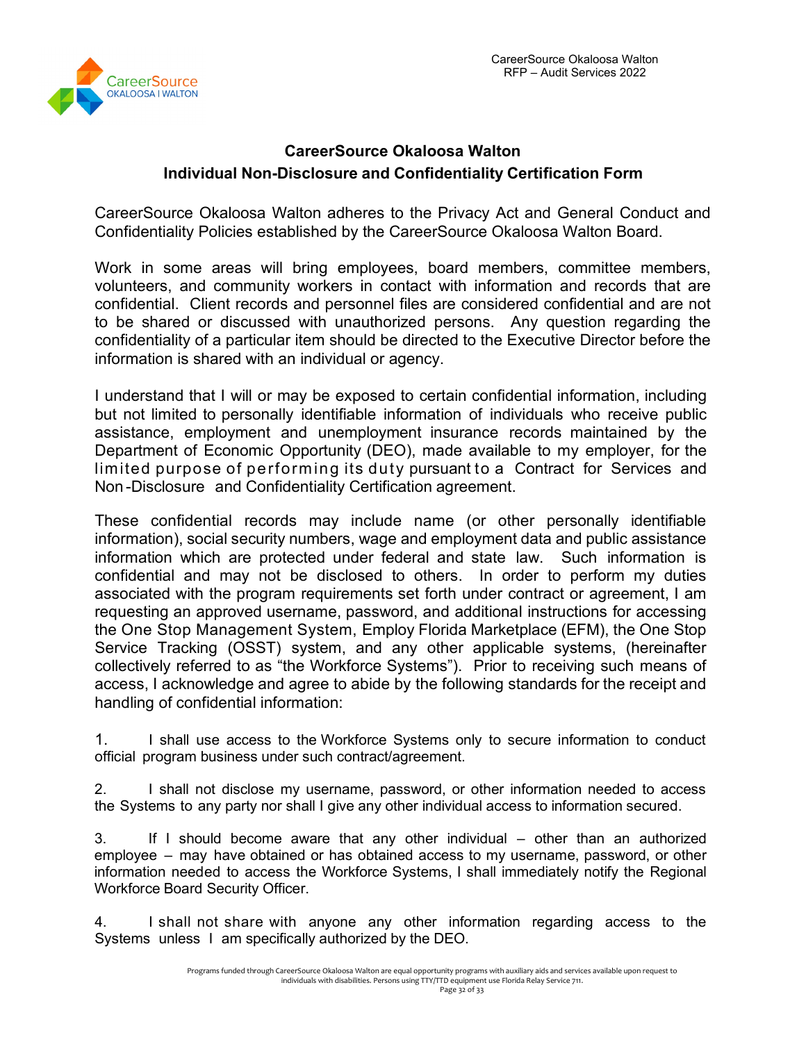

# **CareerSource Okaloosa Walton Individual Non-Disclosure and Confidentiality Certification Form**

CareerSource Okaloosa Walton adheres to the Privacy Act and General Conduct and Confidentiality Policies established by the CareerSource Okaloosa Walton Board.

Work in some areas will bring employees, board members, committee members, volunteers, and community workers in contact with information and records that are confidential. Client records and personnel files are considered confidential and are not to be shared or discussed with unauthorized persons. Any question regarding the confidentiality of a particular item should be directed to the Executive Director before the information is shared with an individual or agency.

I understand that I will or may be exposed to certain confidential information, including but not limited to personally identifiable information of individuals who receive public assistance, employment and unemployment insurance records maintained by the Department of Economic Opportunity (DEO), made available to my employer, for the limited purpose of performing its duty pursuant to a Contract for Services and Non -Disclosure and Confidentiality Certification agreement.

These confidential records may include name (or other personally identifiable information), social security numbers, wage and employment data and public assistance information which are protected under federal and state law. Such information is confidential and may not be disclosed to others. In order to perform my duties associated with the program requirements set forth under contract or agreement, I am requesting an approved username, password, and additional instructions for accessing the One Stop Management System, Employ Florida Marketplace (EFM), the One Stop Service Tracking (OSST) system, and any other applicable systems, (hereinafter collectively referred to as "the Workforce Systems"). Prior to receiving such means of access, I acknowledge and agree to abide by the following standards for the receipt and handling of confidential information:

1. I shall use access to the Workforce Systems only to secure information to conduct official program business under such contract/agreement.

2. I shall not disclose my username, password, or other information needed to access the Systems to any party nor shall I give any other individual access to information secured.

3. If I should become aware that any other individual – other than an authorized employee – may have obtained or has obtained access to my username, password, or other information needed to access the Workforce Systems, I shall immediately notify the Regional Workforce Board Security Officer.

4. I shall not share with anyone any other information regarding access to the Systems unless I am specifically authorized by the DEO.